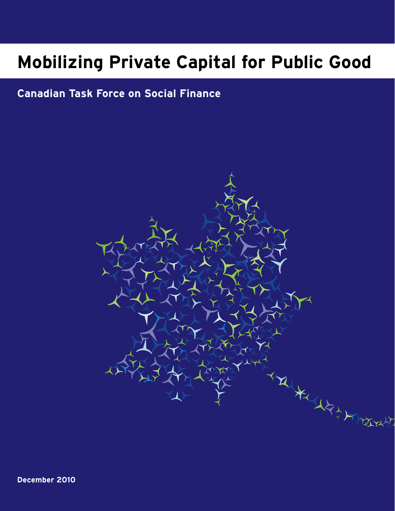# **Mobilizing Private Capital for Public Good**

# **Canadian Task Force on Social Finance**

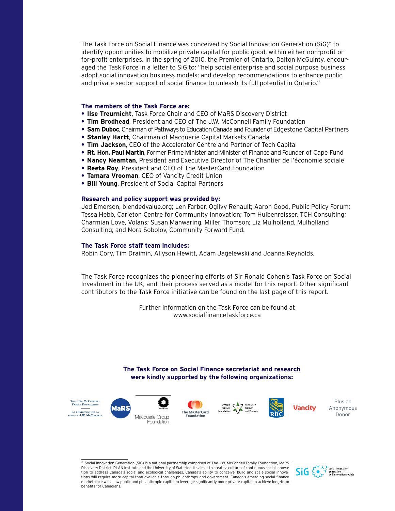The Task Force on Social Finance was conceived by Social Innovation Generation (SiG)\* to identify opportunities to mobilize private capital for public good, within either non-profit or for-profit enterprises. In the spring of 2010, the Premier of Ontario, Dalton McGuinty, encouraged the Task Force in a letter to SiG to: "help social enterprise and social purpose business adopt social innovation business models; and develop recommendations to enhance public and private sector support of social finance to unleash its full potential in Ontario."

## **The members of the Task Force are:**

- **• Ilse Treurnicht**, Task Force Chair and CEO of MaRS Discovery District
- **• Tim Brodhead**, President and CEO of The J.W. McConnell Family Foundation
- **• Sam Duboc**, Chairman of Pathways to Education Canada and Founder of Edgestone Capital Partners
- **• Stanley Hartt**, Chairman of Macquarie Capital Markets Canada
- **• Tim Jackson**, CEO of the Accelerator Centre and Partner of Tech Capital
- **• Rt. Hon. Paul Martin**, Former Prime Minister and Minister of Finance and Founder of Cape Fund
- **• Nancy Neamtan**, President and Executive Director of The Chantier de l'économie sociale
- **• Reeta Roy**, President and CEO of The MasterCard Foundation
- **• Tamara Vrooman**, CEO of Vancity Credit Union
- **• Bill Young**, President of Social Capital Partners

## **Research and policy support was provided by:**

Jed Emerson, blendedvalue.org; Len Farber, Ogilvy Renault; Aaron Good, Public Policy Forum; Tessa Hebb, Carleton Centre for Community Innovation; Tom Huibenreisser, TCH Consulting; Charmian Love, Volans; Susan Manwaring, Miller Thomson; Liz Mulholland, Mulholland Consulting; and Nora Sobolov, Community Forward Fund.

## **The Task Force staff team includes:**

Robin Cory, Tim Draimin, Allyson Hewitt, Adam Jagelewski and Joanna Reynolds.

The Task Force recognizes the pioneering efforts of Sir Ronald Cohen's Task Force on Social Investment in the UK, and their process served as a model for this report. Other significant contributors to the Task Force initiative can be found on the last page of this report.

> Further information on the Task Force can be found at www.socialfinancetaskforce.ca

## **The Task Force on Social Finance secretariat and research were kindly supported by the following organizations:**



<sup>\*</sup> Social Innovation Generation (SiG) is a national partnership comprised of The J.W. McConnell Family Foundation, MaRS Discovery District, PLAN Institute and the University of Waterloo. Its aim is to create a culture of continuous social innovation to address Canada's social and ecological challenges. Canada's ability to conceive, build and scale social innovations will require more capital than available through philanthropy and government. Canada's emerging social finance marketplace will allow public and philanthropic capital to leverage significantly more private capital to achieve long-term benefits for Canadians.



Plus an Anonymous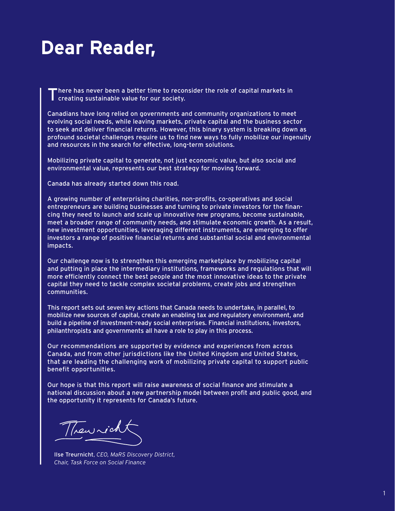# **Dear Reader,**

There has never been a better time to reconsider the role of capital markets in creating sustainable value for our society.

Canadians have long relied on governments and community organizations to meet evolving social needs, while leaving markets, private capital and the business sector to seek and deliver financial returns. However, this binary system is breaking down as profound societal challenges require us to find new ways to fully mobilize our ingenuity and resources in the search for effective, long-term solutions.

Mobilizing private capital to generate, not just economic value, but also social and environmental value, represents our best strategy for moving forward.

Canada has already started down this road.

A growing number of enterprising charities, non-profits, co-operatives and social entrepreneurs are building businesses and turning to private investors for the financing they need to launch and scale up innovative new programs, become sustainable, meet a broader range of community needs, and stimulate economic growth. As a result, new investment opportunities, leveraging different instruments, are emerging to offer investors a range of positive financial returns and substantial social and environmental impacts.

Our challenge now is to strengthen this emerging marketplace by mobilizing capital and putting in place the intermediary institutions, frameworks and regulations that will more efficiently connect the best people and the most innovative ideas to the private capital they need to tackle complex societal problems, create jobs and strengthen communities.

This report sets out seven key actions that Canada needs to undertake, in parallel, to mobilize new sources of capital, create an enabling tax and regulatory environment, and build a pipeline of investment-ready social enterprises. Financial institutions, investors, philanthropists and governments all have a role to play in this process.

Our recommendations are supported by evidence and experiences from across Canada, and from other jurisdictions like the United Kingdom and United States, that are leading the challenging work of mobilizing private capital to support public benefit opportunities.

Our hope is that this report will raise awareness of social finance and stimulate a national discussion about a new partnership model between profit and public good, and the opportunity it represents for Canada's future.

Thewricht

Ilse Treurnicht, *CEO, MaRS Discovery District, Chair, Task Force on Social Finance*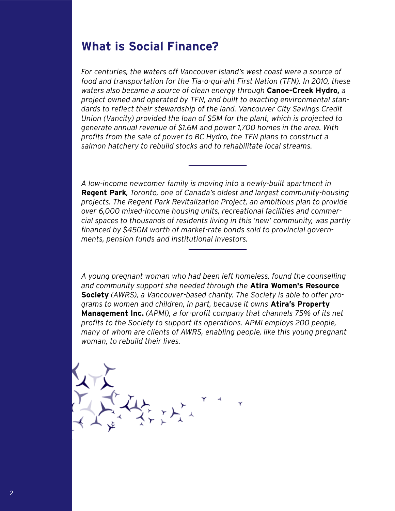# **What is Social Finance?**

*For centuries, the waters off Vancouver Island's west coast were a source of food and transportation for the Tia-o-qui-aht First Nation (TFN). In 2010, these waters also became a source of clean energy through* **Canoe-Creek Hydro,** *a project owned and operated by TFN, and built to exacting environmental standards to reflect their stewardship of the land. Vancouver City Savings Credit Union (Vancity) provided the loan of \$5M for the plant, which is projected to generate annual revenue of \$1.6M and power 1,700 homes in the area. With profits from the sale of power to BC Hydro, the TFN plans to construct a salmon hatchery to rebuild stocks and to rehabilitate local streams.*

*A low-income newcomer family is moving into a newly-built apartment in*  **Regent Park***, Toronto, one of Canada's oldest and largest community-housing projects. The Regent Park Revitalization Project, an ambitious plan to provide over 6,000 mixed-income housing units, recreational facilities and commercial spaces to thousands of residents living in this 'new' community, was partly financed by \$450M worth of market-rate bonds sold to provincial governments, pension funds and institutional investors.*

*A young pregnant woman who had been left homeless, found the counselling and community support she needed through the* **Atira Women's Resource Society** *(AWRS), a Vancouver-based charity. The Society is able to offer programs to women and children, in part, because it owns* **Atira's Property Management Inc.** *(APMI), a for-profit company that channels 75% of its net profits to the Society to support its operations. APMI employs 200 people, many of whom are clients of AWRS, enabling people, like this young pregnant woman, to rebuild their lives.*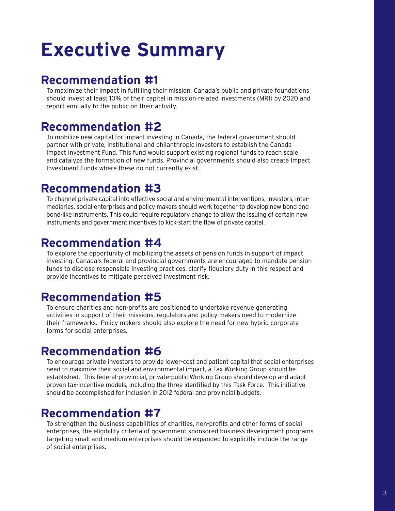# **Executive Summary**

# **Recommendation #1**

To maximize their impact in fulfilling their mission, Canada's public and private foundations should invest at least 10% of their capital in mission-related investments (MRI) by 2020 and report annually to the public on their activity.

# **Recommendation #2**

To mobilize new capital for impact investing in Canada, the federal government should partner with private, institutional and philanthropic investors to establish the Canada Impact Investment Fund. This fund would support existing regional funds to reach scale and catalyze the formation of new funds. Provincial governments should also create Impact Investment Funds where these do not currently exist.

# **Recommendation #3**

To channel private capital into effective social and environmental interventions, investors, intermediaries, social enterprises and policy makers should work together to develop new bond and bond-like instruments. This could require regulatory change to allow the issuing of certain new instruments and government incentives to kick-start the flow of private capital.

# **Recommendation #4**

To explore the opportunity of mobilizing the assets of pension funds in support of impact investing, Canada's federal and provincial governments are encouraged to mandate pension funds to disclose responsible investing practices, clarify fiduciary duty in this respect and provide incentives to mitigate perceived investment risk.

# **Recommendation #5**

To ensure charities and non-profits are positioned to undertake revenue generating activities in support of their missions, regulators and policy makers need to modernize their frameworks. Policy makers should also explore the need for new hybrid corporate forms for social enterprises.

# **Recommendation #6**

To encourage private investors to provide lower-cost and patient capital that social enterprises need to maximize their social and environmental impact, a Tax Working Group should be established. This federal-provincial, private-public Working Group should develop and adapt proven tax-incentive models, including the three identified by this Task Force. This initiative should be accomplished for inclusion in 2012 federal and provincial budgets.

# **Recommendation #7**

To strengthen the business capabilities of charities, non-profits and other forms of social enterprises, the eligibility criteria of government sponsored business development programs targeting small and medium enterprises should be expanded to explicitly include the range of social enterprises.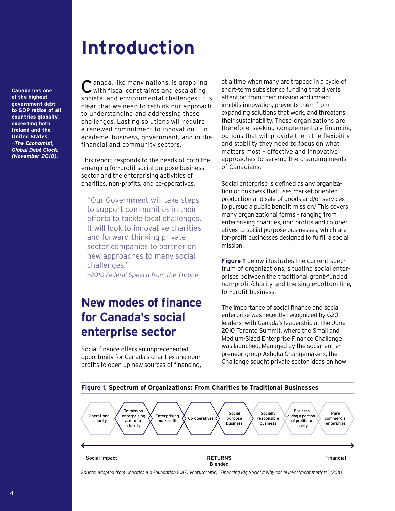# **Introduction**

**Canada has one of the highest government debt to GDP ratios of all countries globally, exceeding both Ireland and the United States.**  *—The Economist, Global Debt Clock, (November 2010).* 

Canada, like many nations, is grappling with fiscal constraints and escalating societal and environmental challenges. It is clear that we need to rethink our approach to understanding and addressing these challenges. Lasting solutions will require a renewed commitment to innovation — in academe, business, government, and in the financial and community sectors.

This report responds to the needs of both the emerging for-profit social purpose business sector and the enterprising activities of charities, non-profits, and co-operatives.

"Our Government will take steps to support communities in their efforts to tackle local challenges. It will look to innovative charities and forward-thinking privatesector companies to partner on new approaches to many social challenges."

*—2010 Federal Speech from the Throne*

# **New modes of finance for Canada's social enterprise sector**

Social finance offers an unprecedented opportunity for Canada's charities and nonprofits to open up new sources of financing, at a time when many are trapped in a cycle of short-term subsistence funding that diverts attention from their mission and impact, inhibits innovation, prevents them from expanding solutions that work, and threatens their sustainability. These organizations are, therefore, seeking complementary financing options that will provide them the flexibility and stability they need to focus on what matters most – effective and innovative approaches to serving the changing needs of Canadians.

Social enterprise is defined as any organization or business that uses market-oriented production and sale of goods and/or services to pursue a public benefit mission.<sup>1</sup> This covers many organizational forms – ranging from enterprising charities, non-profits and co-operatives to social purpose businesses, which are for-profit businesses designed to fulfill a social mission.

**Figure 1** below illustrates the current spectrum of organizations, situating social enterprises between the traditional grant-funded non-profit/charity and the single-bottom line, for-profit business.

The importance of social finance and social enterprise was recently recognized by G20 leaders, with Canada's leadership at the June 2010 Toronto Summit, where the Small and Medium-Sized Enterprise Finance Challenge was launched. Managed by the social entrepreneur group Ashoka Changemakers, the Challenge sought private sector ideas on how



*Source: Adapted from Charities Aid Foundation (CAF) Venturesome, "Financing Big Society: Why social investment matters" (2010).*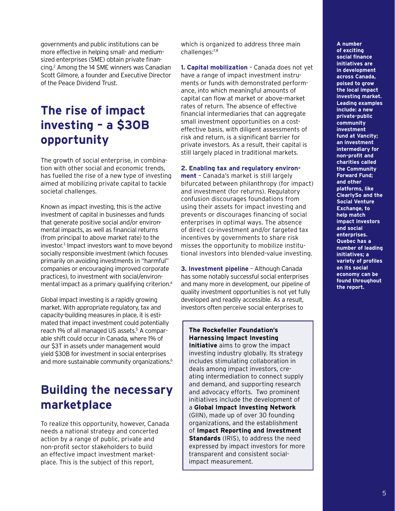governments and public institutions can be more effective in helping small- and mediumsized enterprises (SME) obtain private financing.2 Among the 14 SME winners was Canadian Scott Gilmore, a founder and Executive Director of the Peace Dividend Trust.

# **The rise of impact investing – a \$30B opportunity**

The growth of social enterprise, in combination with other social and economic trends, has fuelled the rise of a new type of investing aimed at mobilizing private capital to tackle societal challenges.

Known as impact investing, this is the active investment of capital in businesses and funds that generate positive social and/or environmental impacts, as well as financial returns (from principal to above market rate) to the investor.3 Impact investors want to move beyond socially responsible investment (which focuses primarily on avoiding investments in "harmful" companies or encouraging improved corporate practices), to investment with social/environmental impact as a primary qualifying criterion.4

Global impact investing is a rapidly growing market. With appropriate regulatory, tax and capacity-building measures in place, it is estimated that impact investment could potentially reach 1% of all managed US assets.<sup>5</sup> A comparable shift could occur in Canada, where 1% of our \$3T in assets under management would yield \$30B for investment in social enterprises and more sustainable community organizations.<sup>6</sup>

# **Building the necessary marketplace**

To realize this opportunity, however, Canada needs a national strategy and concerted action by a range of public, private and non-profit sector stakeholders to build an effective impact investment marketplace. This is the subject of this report,

which is organized to address three main challenges:7,8

**1. Capital mobilization** – Canada does not yet have a range of impact investment instruments or funds with demonstrated performance, into which meaningful amounts of capital can flow at market or above-market rates of return. The absence of effective financial intermediaries that can aggregate small investment opportunities on a costeffective basis, with diligent assessments of risk and return, is a significant barrier for private investors. As a result, their capital is still largely placed in traditional markets.

**2. Enabling tax and regulatory environ-**

**ment** – Canada's market is still largely bifurcated between philanthropy (for impact) and investment (for returns). Regulatory confusion discourages foundations from using their assets for impact investing and prevents or discourages financing of social enterprises in optimal ways. The absence of direct co-investment and/or targeted tax incentives by governments to share risk misses the opportunity to mobilize institutional investors into blended-value investing.

**3. Investment pipeline** – Although Canada has some notably successful social enterprises and many more in development, our pipeline of quality investment opportunities is not yet fully developed and readily accessible. As a result, investors often perceive social enterprises to

**The Rockefeller Foundation's Harnessing Impact Investing Initiative** aims to grow the impact investing industry globally. Its strategy includes stimulating collaboration in deals among impact investors, creating intermediation to connect supply and demand, and supporting research and advocacy efforts. Two prominent initiatives include the development of a **Global Impact Investing Network** (GIIN), made up of over 30 founding organizations, and the establishment of **Impact Reporting and Investment Standards** (IRIS), to address the need expressed by impact investors for more transparent and consistent socialimpact measurement.

**A number of exciting social finance initiatives are in development across Canada, poised to grow the local impact investing market. Leading examples include: a new private-public community investment fund at Vancity; an investment intermediary for non-profit and charities called the Community Forward Fund; and other platforms, like ClearlySo and the Social Venture Exchange, to help match impact investors and social enterprises. Quebec has a number of leading initiatives; a variety of profiles on its social economy can be found throughout the report.**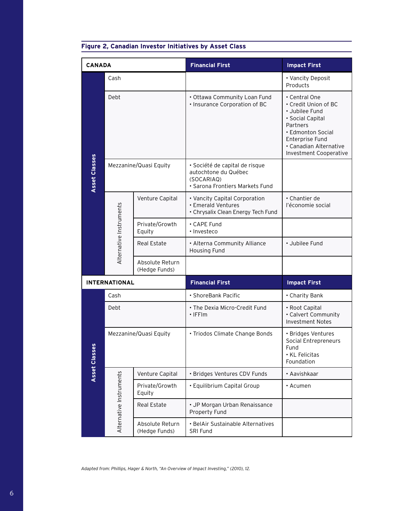| <b>CANADA</b>        |                         |                                  | <b>Financial First</b>                                                                                  | <b>Impact First</b>                                                                                                                                                                        |
|----------------------|-------------------------|----------------------------------|---------------------------------------------------------------------------------------------------------|--------------------------------------------------------------------------------------------------------------------------------------------------------------------------------------------|
| Asset Classes        | Cash                    |                                  |                                                                                                         | • Vancity Deposit<br>Products                                                                                                                                                              |
|                      | Debt                    |                                  | · Ottawa Community Loan Fund<br>· Insurance Corporation of BC                                           | • Central One<br>• Credit Union of BC<br>· Jubilee Fund<br>· Social Capital<br>Partners<br>• Edmonton Social<br>Enterprise Fund<br>· Canadian Alternative<br><b>Investment Cooperative</b> |
|                      | Mezzanine/Quasi Equity  |                                  | · Société de capital de risque<br>autochtone du Québec<br>(SOCARIAQ)<br>· Sarona Frontiers Markets Fund |                                                                                                                                                                                            |
|                      | Alternative Instruments | Venture Capital                  | • Vancity Capital Corporation<br>· Emerald Ventures<br>• Chrysalix Clean Energy Tech Fund               | • Chantier de<br>l'économie social                                                                                                                                                         |
|                      |                         | Private/Growth<br>Equity         | • CAPE Fund<br>· Investeco                                                                              |                                                                                                                                                                                            |
|                      |                         | Real Estate                      | • Alterna Community Alliance<br>Housing Fund                                                            | · Jubilee Fund                                                                                                                                                                             |
|                      |                         | Absolute Return<br>(Hedge Funds) |                                                                                                         |                                                                                                                                                                                            |
| <b>INTERNATIONAL</b> |                         |                                  | <b>Financial First</b>                                                                                  | <b>Impact First</b>                                                                                                                                                                        |
| Asset Classes        | Cash                    |                                  | · ShoreBank Pacific                                                                                     | • Charity Bank                                                                                                                                                                             |
|                      | Debt                    |                                  | • The Dexia Micro-Credit Fund<br>$\cdot$ IFFIm                                                          | • Root Capital<br>• Calvert Community<br><b>Investment Notes</b>                                                                                                                           |
|                      | Mezzanine/Quasi Equity  |                                  | • Triodos Climate Change Bonds                                                                          | · Bridges Ventures<br>Social Entrepreneurs<br>Fund<br>• KL Felicitas<br>Foundation                                                                                                         |
|                      | Alternative Instruments | Venture Capital                  | · Bridges Ventures CDV Funds                                                                            | • Aavishkaar                                                                                                                                                                               |
|                      |                         | Private/Growth<br>Equity         | · Equilibrium Capital Group                                                                             | • Acumen                                                                                                                                                                                   |
|                      |                         | Real Estate                      | • JP Morgan Urban Renaissance<br>Property Fund                                                          |                                                                                                                                                                                            |
|                      |                         | Absolute Return<br>(Hedge Funds) | • BelAir Sustainable Alternatives<br>SRI Fund                                                           |                                                                                                                                                                                            |

# **Figure 2, Canadian Investor Initiatives by Asset Class**

*Adapted from: Phillips, Hager & North, "An Overview of Impact Investing," (2010), 12.*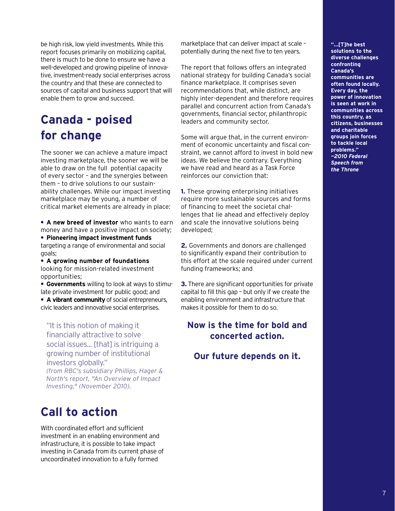be high risk, low yield investments. While this report focuses primarily on mobilizing capital, there is much to be done to ensure we have a well-developed and growing pipeline of innovative, investment-ready social enterprises across the country and that these are connected to sources of capital and business support that will enable them to grow and succeed.

# **Canada - poised for change**

The sooner we can achieve a mature impact investing marketplace, the sooner we will be able to draw on the full potential capacity of every sector – and the synergies between them – to drive solutions to our sustainability challenges. While our impact investing marketplace may be young, a number of critical market elements are already in place:

**• A new breed of investor** who wants to earn money and have a positive impact on society;

**• Pioneering impact investment funds**  targeting a range of environmental and social goals;

**• A growing number of foundations** looking for mission-related investment opportunities;

**• Governments** willing to look at ways to stimulate private investment for public good; and

**• A vibrant community** of social entrepreneurs, civic leaders and innovative social enterprises.

"It is this notion of making it financially attractive to solve social issues... [that] is intriguing a growing number of institutional investors globally." *(from RBC's subsidiary Phillips, Hager & North's report, "An Overview of Impact Investing," (November 2010).*

# **Call to action**

With coordinated effort and sufficient investment in an enabling environment and infrastructure, it is possible to take impact investing in Canada from its current phase of uncoordinated innovation to a fully formed

marketplace that can deliver impact at scale – potentially during the next five to ten years.

The report that follows offers an integrated national strategy for building Canada's social finance marketplace. It comprises seven recommendations that, while distinct, are highly inter-dependent and therefore requires parallel and concurrent action from Canada's governments, financial sector, philanthropic leaders and community sector.

Some will argue that, in the current environment of economic uncertainty and fiscal constraint, we cannot afford to invest in bold new ideas. We believe the contrary. Everything we have read and heard as a Task Force reinforces our conviction that:

**1.** These growing enterprising initiatives require more sustainable sources and forms of financing to meet the societal challenges that lie ahead and effectively deploy and scale the innovative solutions being developed;

**2.** Governments and donors are challenged to significantly expand their contribution to this effort at the scale required under current funding frameworks; and

**3.** There are significant opportunities for private capital to fill this gap – but only if we create the enabling environment and infrastructure that makes it possible for them to do so.

# **Now is the time for bold and concerted action.**

# **Our future depends on it.**

**"…[T]he best solutions to the diverse challenges confronting Canada's communities are often found locally. Every day, the power of innovation is seen at work in communities across this country, as citizens, businesses and charitable groups join forces to tackle local problems."** *—2010 Federal Speech from the Throne*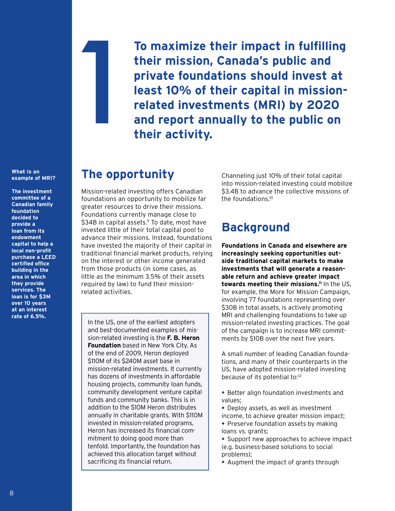**What is an** 

**example of MRI?**

**The investment committee of a Canadian family foundation decided to provide a loan from its endowment capital to help a local non-profit purchase a LEED certified office building in the area in which they provide services. The loan is for \$3M over 10 years at an interest rate of 6.5%.**

**To maximize their impact in fulfilling their mission, Canada's public and private foundations should invest at least 10% of their capital in missionrelated investments (MRI) by 2020 and report annually to the public on their activity.** !

# **The opportunity**

Mission-related investing offers Canadian foundations an opportunity to mobilize far greater resources to drive their missions. Foundations currently manage close to  $$34B$  in capital assets.<sup>9</sup> To date, most have invested little of their total capital pool to advance their missions. Instead, foundations have invested the majority of their capital in traditional financial market products, relying on the interest or other income generated from those products (in some cases, as little as the minimum 3.5% of their assets required by law) to fund their missionrelated activities.

In the US, one of the earliest adopters and best-documented examples of mission-related investing is the **F. B. Heron Foundation** based in New York City. As of the end of 2009, Heron deployed \$110M of its \$240M asset base in mission-related investments. It currently has dozens of investments in affordable housing projects, community loan funds, community development venture capital funds and community banks. This is in addition to the \$10M Heron distributes annually in charitable grants. With \$110M invested in mission-related programs, Heron has increased its financial commitment to doing good more than tenfold. Importantly, the foundation has achieved this allocation target without sacrificing its financial return.

Channeling just 10% of their total capital into mission-related investing could mobilize \$3.4B to advance the collective missions of the foundations.10

# **Background**

**Foundations in Canada and elsewhere are increasingly seeking opportunities outside traditional capital markets to make investments that will generate a reasonable return and achieve greater impact towards meeting their missions.11** In the US, for example, the More for Mission Campaign, involving 77 foundations representing over \$30B in total assets, is actively promoting MRI and challenging foundations to take up mission-related investing practices. The goal of the campaign is to increase MRI commitments by \$10B over the next five years.

A small number of leading Canadian foundations, and many of their counterparts in the US, have adopted mission-related investing because of its potential to:<sup>12</sup>

- **•** Better align foundation investments and values;
- **•** Deploy assets, as well as investment income, to achieve greater mission impact;
- **•** Preserve foundation assets by making loans vs. grants;
- **•** Support new approaches to achieve impact (e.g. business-based solutions to social problems);
- **•** Augment the impact of grants through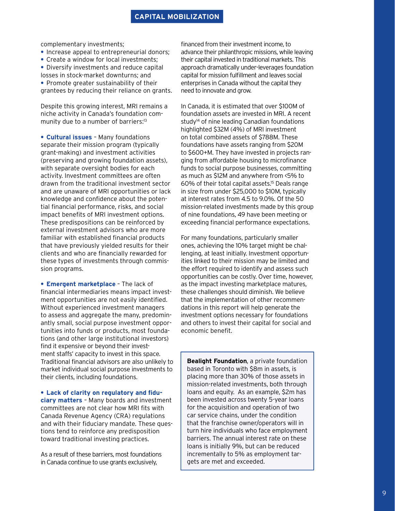complementary investments;

- **•** Increase appeal to entrepreneurial donors;
- **•** Create a window for local investments;

**•** Diversify investments and reduce capital losses in stock-market downturns; and

**•** Promote greater sustainability of their grantees by reducing their reliance on grants.

Despite this growing interest, MRI remains a niche activity in Canada's foundation community due to a number of barriers:<sup>13</sup>

**• Cultural issues** – Many foundations separate their mission program (typically grant-making) and investment activities (preserving and growing foundation assets), with separate oversight bodies for each activity. Investment committees are often drawn from the traditional investment sector and are unaware of MRI opportunities or lack knowledge and confidence about the potential financial performance, risks, and social impact benefits of MRI investment options. These predispositions can be reinforced by external investment advisors who are more familiar with established financial products that have previously yielded results for their clients and who are financially rewarded for these types of investments through commission programs.

**• Emergent marketplace** – The lack of financial intermediaries means impact investment opportunities are not easily identified. Without experienced investment managers to assess and aggregate the many, predominantly small, social purpose investment opportunities into funds or products, most foundations (and other large institutional investors) find it expensive or beyond their investment staffs' capacity to invest in this space. Traditional financial advisors are also unlikely to market individual social purpose investments to their clients, including foundations.

**• Lack of clarity on regulatory and fiduciary matters** – Many boards and investment committees are not clear how MRI fits with Canada Revenue Agency (CRA) regulations and with their fiduciary mandate. These questions tend to reinforce any predisposition toward traditional investing practices.

As a result of these barriers, most foundations in Canada continue to use grants exclusively,

financed from their investment income, to advance their philanthropic missions, while leaving their capital invested in traditional markets. This approach dramatically under-leverages foundation capital for mission fulfillment and leaves social enterprises in Canada without the capital they need to innovate and grow.

In Canada, it is estimated that over \$100M of foundation assets are invested in MRI. A recent study<sup>14</sup> of nine leading Canadian foundations highlighted \$32M (4%) of MRI investment on total combined assets of \$788M. These foundations have assets ranging from \$20M to \$600+M. They have invested in projects ranging from affordable housing to microfinance funds to social purpose businesses, committing as much as \$12M and anywhere from <5% to 60% of their total capital assets.15 Deals range in size from under \$25,000 to \$10M, typically at interest rates from 4.5 to 9.0%. Of the 50 mission-related investments made by this group of nine foundations, 49 have been meeting or exceeding financial performance expectations.

For many foundations, particularly smaller ones, achieving the 10% target might be challenging, at least initially. Investment opportunities linked to their mission may be limited and the effort required to identify and assess such opportunities can be costly. Over time, however, as the impact investing marketplace matures, these challenges should diminish. We believe that the implementation of other recommendations in this report will help generate the investment options necessary for foundations and others to invest their capital for social and economic benefit.

**Bealight Foundation**, a private foundation based in Toronto with \$8m in assets, is placing more than 30% of those assets in mission-related investments, both through loans and equity. As an example, \$2m has been invested across twenty 5-year loans for the acquisition and operation of two car service chains, under the condition that the franchise owner/operators will in turn hire individuals who face employment barriers. The annual interest rate on these loans is initially 9%, but can be reduced incrementally to 5% as employment targets are met and exceeded.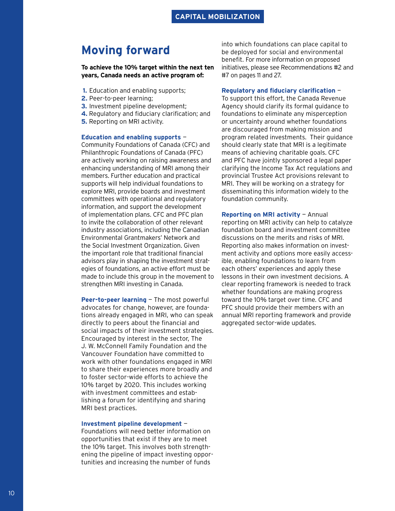# **Moving forward**

**To achieve the 10% target within the next ten years, Canada needs an active program of:** 

- **1.** Education and enabling supports;
- **2.** Peer-to-peer learning;
- **3.** Investment pipeline development;
- **4.** Regulatory and fiduciary clarification; and
- **5.** Reporting on MRI activity.

## **Education and enabling supports** —

Community Foundations of Canada (CFC) and Philanthropic Foundations of Canada (PFC) are actively working on raising awareness and enhancing understanding of MRI among their members. Further education and practical supports will help individual foundations to explore MRI, provide boards and investment committees with operational and regulatory information, and support the development of implementation plans. CFC and PFC plan to invite the collaboration of other relevant industry associations, including the Canadian Environmental Grantmakers' Network and the Social Investment Organization. Given the important role that traditional financial advisors play in shaping the investment strategies of foundations, an active effort must be made to include this group in the movement to strengthen MRI investing in Canada.

**Peer-to-peer learning** — The most powerful advocates for change, however, are foundations already engaged in MRI, who can speak directly to peers about the financial and social impacts of their investment strategies. Encouraged by interest in the sector, The J. W. McConnell Family Foundation and the Vancouver Foundation have committed to work with other foundations engaged in MRI to share their experiences more broadly and to foster sector-wide efforts to achieve the 10% target by 2020. This includes working with investment committees and establishing a forum for identifying and sharing MRI best practices.

## **Investment pipeline development** —

Foundations will need better information on opportunities that exist if they are to meet the 10% target. This involves both strengthening the pipeline of impact investing opportunities and increasing the number of funds

into which foundations can place capital to be deployed for social and environmental benefit. For more information on proposed initiatives, please see Recommendations #2 and #7 on pages 11 and 27.

## **Regulatory and fiduciary clarification** —

To support this effort, the Canada Revenue Agency should clarify its formal guidance to foundations to eliminate any misperception or uncertainty around whether foundations are discouraged from making mission and program related investments. Their guidance should clearly state that MRI is a legitimate means of achieving charitable goals. CFC and PFC have jointly sponsored a legal paper clarifying the Income Tax Act regulations and provincial Trustee Act provisions relevant to MRI. They will be working on a strategy for disseminating this information widely to the foundation community.

**Reporting on MRI activity** — Annual reporting on MRI activity can help to catalyze foundation board and investment committee discussions on the merits and risks of MRI. Reporting also makes information on investment activity and options more easily accessible, enabling foundations to learn from each others' experiences and apply these lessons in their own investment decisions. A clear reporting framework is needed to track whether foundations are making progress toward the 10% target over time. CFC and PFC should provide their members with an annual MRI reporting framework and provide aggregated sector-wide updates.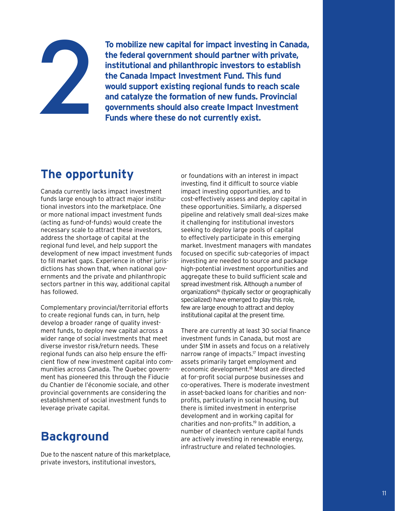

**To mobilize new capital for impact investing in Canada, the federal government should partner with private, institutional and philanthropic investors to establish the Canada Impact Investment Fund. This fund would support existing regional funds to reach scale and catalyze the formation of new funds. Provincial governments should also create Impact Investment Funds where these do not currently exist.** 

# **The opportunity**

Canada currently lacks impact investment funds large enough to attract major institutional investors into the marketplace. One or more national impact investment funds (acting as fund-of-funds) would create the necessary scale to attract these investors, address the shortage of capital at the regional fund level, and help support the development of new impact investment funds to fill market gaps. Experience in other jurisdictions has shown that, when national governments and the private and philanthropic sectors partner in this way, additional capital has followed.

Complementary provincial/territorial efforts to create regional funds can, in turn, help develop a broader range of quality investment funds, to deploy new capital across a wider range of social investments that meet diverse investor risk/return needs. These regional funds can also help ensure the efficient flow of new investment capital into communities across Canada. The Quebec government has pioneered this through the Fiducie du Chantier de l'économie sociale, and other provincial governments are considering the establishment of social investment funds to leverage private capital.

# **Background**

Due to the nascent nature of this marketplace, private investors, institutional investors,

or foundations with an interest in impact investing, find it difficult to source viable impact investing opportunities, and to cost-effectively assess and deploy capital in these opportunities. Similarly, a dispersed pipeline and relatively small deal-sizes make it challenging for institutional investors seeking to deploy large pools of capital to effectively participate in this emerging market. Investment managers with mandates focused on specific sub-categories of impact investing are needed to source and package high-potential investment opportunities and aggregate these to build sufficient scale and spread investment risk. Although a number of organizations<sup>16</sup> (typically sector or geographically specialized) have emerged to play this role, few are large enough to attract and deploy institutional capital at the present time.

There are currently at least 30 social finance investment funds in Canada, but most are under \$1M in assets and focus on a relatively narrow range of impacts.17 Impact investing assets primarily target employment and economic development.18 Most are directed at for-profit social purpose businesses and co-operatives. There is moderate investment in asset-backed loans for charities and nonprofits, particularly in social housing, but there is limited investment in enterprise development and in working capital for charities and non-profits.19 In addition, a number of cleantech venture capital funds are actively investing in renewable energy, infrastructure and related technologies.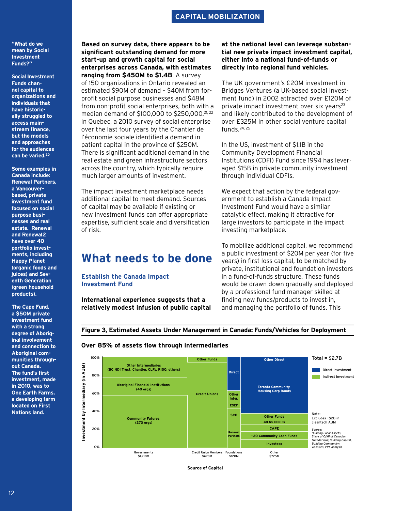# **CAPITAL MOBILIZATION**

## **"What do we mean by Social Investment Funds?"**

**Social Investment Funds channel capital to organizations and individuals that have historically struggled to access mainstream finance, but the models and approaches for the audiences can be varied.20**

**Some examples in Canada include: Renewal Partners, a Vancouverbased, private investment fund focused on social purpose businesses and real estate. Renewal and Renewal2 have over 40 portfolio investments, including Happy Planet (organic foods and juices) and Seventh Generation (green household products).** 

**The Cape Fund, a \$50M private investment fund with a strong degree of Aboriginal involvement and connection to Aboriginal communities throughout Canada. The fund's first investment, made in 2010, was to One Earth Farms, a developing farm located on First Nations land.** 

**Based on survey data, there appears to be significant outstanding demand for more start-up and growth capital for social enterprises across Canada, with estimates ranging from \$450M to \$1.4B**. A survey of 150 organizations in Ontario revealed an estimated \$90M of demand – \$40M from forprofit social purpose businesses and \$48M from non-profit social enterprises, both with a median demand of \$100,000 to \$250,000.<sup>21, 22</sup> In Quebec, a 2010 survey of social enterprise over the last four years by the Chantier de l'économie sociale identified a demand in patient capital in the province of \$250M. There is significant additional demand in the real estate and green infrastructure sectors across the country, which typically require much larger amounts of investment.

The impact investment marketplace needs additional capital to meet demand. Sources of capital may be available if existing or new investment funds can offer appropriate expertise, sufficient scale and diversification of risk.

# **What needs to be done**

## **Establish the Canada Impact Investment Fund**

**International experience suggests that a relatively modest infusion of public capital**  **at the national level can leverage substantial new private impact investment capital, either into a national fund-of-funds or directly into regional fund vehicles.**

The UK government's £20M investment in Bridges Ventures (a UK-based social investment fund) in 2002 attracted over £120M of private impact investment over six years<sup>23</sup> and likely contributed to the development of over £325M in other social venture capital funds. $24, 25$ 

In the US, investment of \$1.1B in the Community Development Financial Institutions (CDFI) Fund since 1994 has leveraged \$15B in private community investment through individual CDFIs.

We expect that action by the federal government to establish a Canada Impact Investment Fund would have a similar catalytic effect, making it attractive for large investors to participate in the impact investing marketplace.

To mobilize additional capital, we recommend a public investment of \$20M per year (for five years) in first loss capital, to be matched by private, institutional and foundation investors in a fund-of-funds structure. These funds would be drawn down gradually and deployed by a professional fund manager skilled at finding new funds/products to invest in, and managing the portfolio of funds. This



## **Over 85% of assets flow through intermediaries**



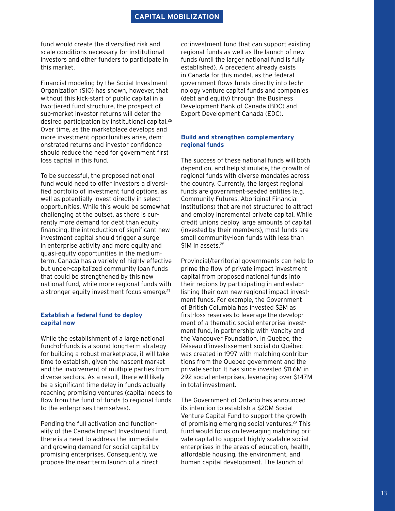fund would create the diversified risk and scale conditions necessary for institutional investors and other funders to participate in this market.

Financial modeling by the Social Investment Organization (SIO) has shown, however, that without this kick-start of public capital in a two-tiered fund structure, the prospect of sub-market investor returns will deter the desired participation by institutional capital.<sup>26</sup> Over time, as the marketplace develops and more investment opportunities arise, demonstrated returns and investor confidence should reduce the need for government first loss capital in this fund.

To be successful, the proposed national fund would need to offer investors a diversified portfolio of investment fund options, as well as potentially invest directly in select opportunities. While this would be somewhat challenging at the outset, as there is currently more demand for debt than equity financing, the introduction of significant new investment capital should trigger a surge in enterprise activity and more equity and quasi-equity opportunities in the mediumterm. Canada has a variety of highly effective but under-capitalized community loan funds that could be strengthened by this new national fund, while more regional funds with a stronger equity investment focus emerge.<sup>27</sup>

## **Establish a federal fund to deploy capital now**

While the establishment of a large national fund-of-funds is a sound long-term strategy for building a robust marketplace, it will take time to establish, given the nascent market and the involvement of multiple parties from diverse sectors. As a result, there will likely be a significant time delay in funds actually reaching promising ventures (capital needs to flow from the fund-of-funds to regional funds to the enterprises themselves).

Pending the full activation and functionality of the Canada Impact Investment Fund, there is a need to address the immediate and growing demand for social capital by promising enterprises. Consequently, we propose the near-term launch of a direct

co-investment fund that can support existing regional funds as well as the launch of new funds (until the larger national fund is fully established). A precedent already exists in Canada for this model, as the federal government flows funds directly into technology venture capital funds and companies (debt and equity) through the Business Development Bank of Canada (BDC) and Export Development Canada (EDC).

# **Build and strengthen complementary regional funds**

The success of these national funds will both depend on, and help stimulate, the growth of regional funds with diverse mandates across the country. Currently, the largest regional funds are government-seeded entities (e.g. Community Futures, Aboriginal Financial Institutions) that are not structured to attract and employ incremental private capital. While credit unions deploy large amounts of capital (invested by their members), most funds are small community-loan funds with less than \$1M in assets.<sup>28</sup>

Provincial/territorial governments can help to prime the flow of private impact investment capital from proposed national funds into their regions by participating in and establishing their own new regional impact investment funds. For example, the Government of British Columbia has invested \$2M as first-loss reserves to leverage the development of a thematic social enterprise investment fund, in partnership with Vancity and the Vancouver Foundation. In Quebec, the Réseau d'investissement social du Québec was created in 1997 with matching contributions from the Quebec government and the private sector. It has since invested \$11.6M in 292 social enterprises, leveraging over \$147M in total investment.

The Government of Ontario has announced its intention to establish a \$20M Social Venture Capital Fund to support the growth of promising emerging social ventures.29 This fund would focus on leveraging matching private capital to support highly scalable social enterprises in the areas of education, health, affordable housing, the environment, and human capital development. The launch of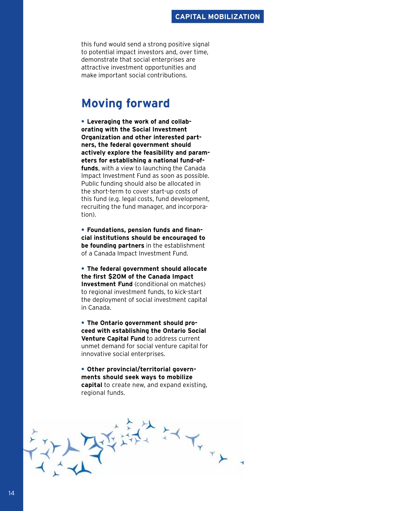## **CAPITAL MOBILIZATION**

this fund would send a strong positive signal to potential impact investors and, over time, demonstrate that social enterprises are attractive investment opportunities and make important social contributions.

# **Moving forward**

**• Leveraging the work of and collaborating with the Social Investment Organization and other interested partners, the federal government should actively explore the feasibility and parameters for establishing a national fund-offunds**, with a view to launching the Canada Impact Investment Fund as soon as possible. Public funding should also be allocated in the short-term to cover start-up costs of this fund (e.g. legal costs, fund development, recruiting the fund manager, and incorporation).

**• Foundations, pension funds and financial institutions should be encouraged to be founding partners** in the establishment of a Canada Impact Investment Fund.

**• The federal government should allocate the first \$20M of the Canada Impact Investment Fund** (conditional on matches) to regional investment funds, to kick-start the deployment of social investment capital in Canada.

**• The Ontario government should proceed with establishing the Ontario Social Venture Capital Fund** to address current unmet demand for social venture capital for innovative social enterprises.

**• Other provincial/territorial governments should seek ways to mobilize capital** to create new, and expand existing, regional funds.

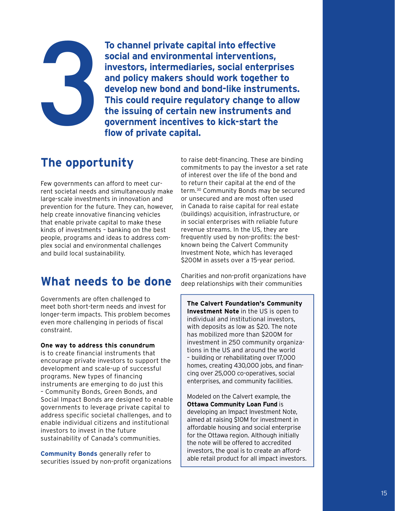# 3

**To channel private capital into effective social and environmental interventions, investors, intermediaries, social enterprises and policy makers should work together to develop new bond and bond-like instruments. This could require regulatory change to allow the issuing of certain new instruments and government incentives to kick-start the flow of private capital.**

# **The opportunity**

Few governments can afford to meet current societal needs and simultaneously make large-scale investments in innovation and prevention for the future. They can, however, help create innovative financing vehicles that enable private capital to make these kinds of investments – banking on the best people, programs and ideas to address complex social and environmental challenges and build local sustainability.

# **What needs to be done**

Governments are often challenged to meet both short-term needs and invest for longer-term impacts. This problem becomes even more challenging in periods of fiscal constraint.

# **One way to address this conundrum**

is to create financial instruments that encourage private investors to support the development and scale-up of successful programs. New types of financing instruments are emerging to do just this – Community Bonds, Green Bonds, and Social Impact Bonds are designed to enable governments to leverage private capital to address specific societal challenges, and to enable individual citizens and institutional investors to invest in the future sustainability of Canada's communities.

**Community Bonds** generally refer to securities issued by non-profit organizations to raise debt-financing. These are binding commitments to pay the investor a set rate of interest over the life of the bond and to return their capital at the end of the term.30 Community Bonds may be secured or unsecured and are most often used in Canada to raise capital for real estate (buildings) acquisition, infrastructure, or in social enterprises with reliable future revenue streams. In the US, they are frequently used by non-profits: the bestknown being the Calvert Community Investment Note, which has leveraged \$200M in assets over a 15-year period.

Charities and non-profit organizations have deep relationships with their communities

**The Calvert Foundation's Community Investment Note** in the US is open to individual and institutional investors, with deposits as low as \$20. The note has mobilized more than \$200M for investment in 250 community organizations in the US and around the world – building or rehabilitating over 17,000 homes, creating 430,000 jobs, and financing over 25,000 co-operatives, social enterprises, and community facilities.

Modeled on the Calvert example, the **Ottawa Community Loan Fund** is developing an Impact Investment Note, aimed at raising \$10M for investment in affordable housing and social enterprise for the Ottawa region. Although initially the note will be offered to accredited investors, the goal is to create an affordable retail product for all impact investors.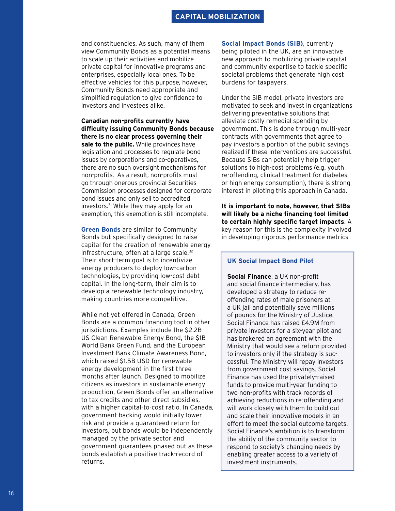# **CAPITAL MOBILIZATION**

and constituencies. As such, many of them view Community Bonds as a potential means to scale up their activities and mobilize private capital for innovative programs and enterprises, especially local ones. To be effective vehicles for this purpose, however, Community Bonds need appropriate and simplified regulation to give confidence to investors and investees alike.

**Canadian non-profits currently have difficulty issuing Community Bonds because there is no clear process governing their sale to the public.** While provinces have legislation and processes to regulate bond issues by corporations and co-operatives, there are no such oversight mechanisms for non-profits. As a result, non-profits must go through onerous provincial Securities Commission processes designed for corporate bond issues and only sell to accredited investors.31 While they may apply for an exemption, this exemption is still incomplete.

**Green Bonds** are similar to Community Bonds but specifically designed to raise capital for the creation of renewable energy infrastructure, often at a large scale.<sup>32</sup> Their short-term goal is to incentivize energy producers to deploy low-carbon technologies, by providing low-cost debt capital. In the long-term, their aim is to develop a renewable technology industry, making countries more competitive.

While not yet offered in Canada, Green Bonds are a common financing tool in other jurisdictions. Examples include the \$2.2B US Clean Renewable Energy Bond, the \$1B World Bank Green Fund, and the European Investment Bank Climate Awareness Bond, which raised \$1.5B USD for renewable energy development in the first three months after launch. Designed to mobilize citizens as investors in sustainable energy production, Green Bonds offer an alternative to tax credits and other direct subsidies, with a higher capital-to-cost ratio. In Canada, government backing would initially lower risk and provide a guaranteed return for investors, but bonds would be independently managed by the private sector and government guarantees phased out as these bonds establish a positive track-record of returns.

**Social Impact Bonds (SIB)**, currently being piloted in the UK, are an innovative new approach to mobilizing private capital and community expertise to tackle specific societal problems that generate high cost burdens for taxpayers.

Under the SIB model, private investors are motivated to seek and invest in organizations delivering preventative solutions that alleviate costly remedial spending by government. This is done through multi-year contracts with governments that agree to pay investors a portion of the public savings realized if these interventions are successful. Because SIBs can potentially help trigger solutions to high-cost problems (e.g. youth re-offending, clinical treatment for diabetes, or high energy consumption), there is strong interest in piloting this approach in Canada.

**It is important to note, however, that SIBs will likely be a niche financing tool limited to certain highly specific target impacts**. A key reason for this is the complexity involved in developing rigorous performance metrics

## **UK Social Impact Bond Pilot**

**Social Finance**, a UK non-profit and social finance intermediary, has developed a strategy to reduce reoffending rates of male prisoners at a UK jail and potentially save millions of pounds for the Ministry of Justice. Social Finance has raised £4.9M from private investors for a six-year pilot and has brokered an agreement with the Ministry that would see a return provided to investors only if the strategy is successful. The Ministry will repay investors from government cost savings. Social Finance has used the privately-raised funds to provide multi-year funding to two non-profits with track records of achieving reductions in re-offending and will work closely with them to build out and scale their innovative models in an effort to meet the social outcome targets. Social Finance's ambition is to transform the ability of the community sector to respond to society's changing needs by enabling greater access to a variety of investment instruments.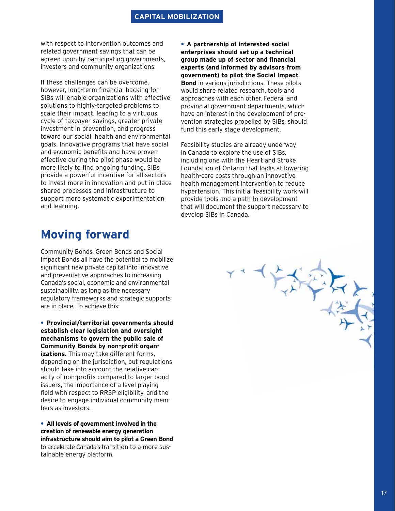# **CAPITAL MOBILIZATION**

with respect to intervention outcomes and related government savings that can be agreed upon by participating governments, investors and community organizations.

If these challenges can be overcome, however, long-term financial backing for SIBs will enable organizations with effective solutions to highly-targeted problems to scale their impact, leading to a virtuous cycle of taxpayer savings, greater private investment in prevention, and progress toward our social, health and environmental goals. Innovative programs that have social and economic benefits and have proven effective during the pilot phase would be more likely to find ongoing funding. SIBs provide a powerful incentive for all sectors to invest more in innovation and put in place shared processes and infrastructure to support more systematic experimentation and learning.

**• A partnership of interested social enterprises should set up a technical group made up of sector and financial experts (and informed by advisors from government) to pilot the Social Impact Bond** in various jurisdictions. These pilots would share related research, tools and approaches with each other. Federal and provincial government departments, which have an interest in the development of prevention strategies propelled by SIBs, should fund this early stage development.

Feasibility studies are already underway in Canada to explore the use of SIBs, including one with the Heart and Stroke Foundation of Ontario that looks at lowering health-care costs through an innovative health management intervention to reduce hypertension. This initial feasibility work will provide tools and a path to development that will document the support necessary to develop SIBs in Canada.

# **Moving forward**

Community Bonds, Green Bonds and Social Impact Bonds all have the potential to mobilize significant new private capital into innovative and preventative approaches to increasing Canada's social, economic and environmental sustainability, as long as the necessary regulatory frameworks and strategic supports are in place. To achieve this:

**• Provincial/territorial governments should establish clear legislation and oversight mechanisms to govern the public sale of Community Bonds by non-profit organizations.** This may take different forms, depending on the jurisdiction, but regulations should take into account the relative capacity of non-profits compared to larger bond issuers, the importance of a level playing field with respect to RRSP eligibility, and the desire to engage individual community members as investors.

**• All levels of government involved in the creation of renewable energy generation infrastructure should aim to pilot a Green Bond** to accelerate Canada's transition to a more sustainable energy platform.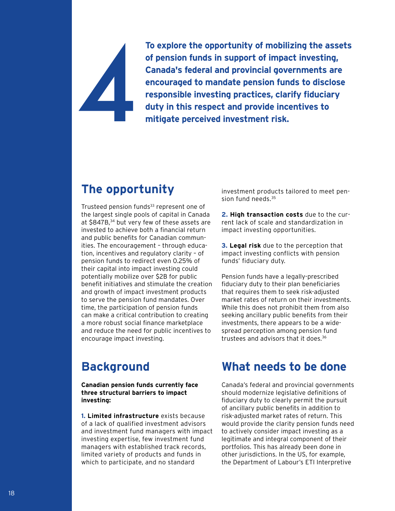# 4

**To explore the opportunity of mobilizing the assets of pension funds in support of impact investing, Canada's federal and provincial governments are encouraged to mandate pension funds to disclose responsible investing practices, clarify fiduciary duty in this respect and provide incentives to mitigate perceived investment risk.**

# **The opportunity**

Trusteed pension funds<sup>33</sup> represent one of the largest single pools of capital in Canada at \$847B,<sup>34</sup> but very few of these assets are invested to achieve both a financial return and public benefits for Canadian communities. The encouragement – through education, incentives and regulatory clarity – of pension funds to redirect even 0.25% of their capital into impact investing could potentially mobilize over \$2B for public benefit initiatives and stimulate the creation and growth of impact investment products to serve the pension fund mandates. Over time, the participation of pension funds can make a critical contribution to creating a more robust social finance marketplace and reduce the need for public incentives to encourage impact investing.

# **Background**

**Canadian pension funds currently face three structural barriers to impact investing:**

**1. Limited infrastructure** exists because of a lack of qualified investment advisors and investment fund managers with impact investing expertise, few investment fund managers with established track records, limited variety of products and funds in which to participate, and no standard

investment products tailored to meet pension fund needs.<sup>35</sup>

**2. High transaction costs** due to the current lack of scale and standardization in impact investing opportunities.

**3. Legal risk** due to the perception that impact investing conflicts with pension funds' fiduciary duty.

Pension funds have a legally-prescribed fiduciary duty to their plan beneficiaries that requires them to seek risk-adjusted market rates of return on their investments. While this does not prohibit them from also seeking ancillary public benefits from their investments, there appears to be a widespread perception among pension fund trustees and advisors that it does.36

# **What needs to be done**

Canada's federal and provincial governments should modernize legislative definitions of fiduciary duty to clearly permit the pursuit of ancillary public benefits in addition to risk-adjusted market rates of return. This would provide the clarity pension funds need to actively consider impact investing as a legitimate and integral component of their portfolios. This has already been done in other jurisdictions. In the US, for example, the Department of Labour's ETI Interpretive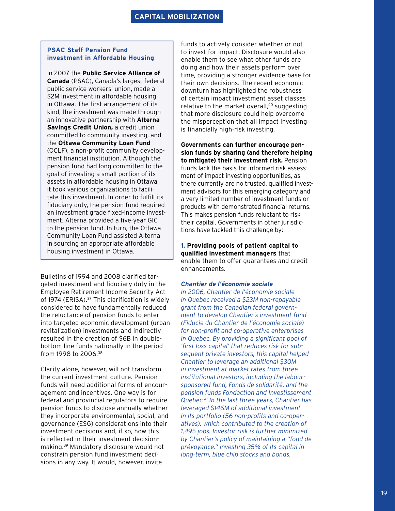# **PSAC Staff Pension Fund investment in Affordable Housing**

In 2007 the **Public Service Alliance of Canada** (PSAC), Canada's largest federal public service workers' union, made a \$2M investment in affordable housing in Ottawa. The first arrangement of its kind, the investment was made through an innovative partnership with **Alterna Savings Credit Union,** a credit union committed to community investing, and the **Ottawa Community Loan Fund** (OCLF), a non-profit community development financial institution. Although the pension fund had long committed to the goal of investing a small portion of its assets in affordable housing in Ottawa, it took various organizations to facilitate this investment. In order to fulfill its fiduciary duty, the pension fund required an investment grade fixed-income investment. Alterna provided a five-year GIC to the pension fund. In turn, the Ottawa Community Loan Fund assisted Alterna in sourcing an appropriate affordable housing investment in Ottawa.

Bulletins of 1994 and 2008 clarified targeted investment and fiduciary duty in the Employee Retirement Income Security Act of 1974 (ERISA).<sup>37</sup> This clarification is widely considered to have fundamentally reduced the reluctance of pension funds to enter into targeted economic development (urban revitalization) investments and indirectly resulted in the creation of \$6B in doublebottom line funds nationally in the period from 1998 to 2006.38

Clarity alone, however, will not transform the current investment culture. Pension funds will need additional forms of encouragement and incentives. One way is for federal and provincial regulators to require pension funds to disclose annually whether they incorporate environmental, social, and governance (ESG) considerations into their investment decisions and, if so, how this is reflected in their investment decisionmaking.39 Mandatory disclosure would not constrain pension fund investment decisions in any way. It would, however, invite

funds to actively consider whether or not to invest for impact. Disclosure would also enable them to see what other funds are doing and how their assets perform over time, providing a stronger evidence-base for their own decisions. The recent economic downturn has highlighted the robustness of certain impact investment asset classes relative to the market overall,<sup>40</sup> suggesting that more disclosure could help overcome the misperception that all impact investing is financially high-risk investing.

**Governments can further encourage pension funds by sharing (and therefore helping to mitigate) their investment risk.** Pension funds lack the basis for informed risk assessment of impact investing opportunities, as there currently are no trusted, qualified investment advisors for this emerging category and a very limited number of investment funds or products with demonstrated financial returns. This makes pension funds reluctant to risk their capital. Governments in other jurisdictions have tackled this challenge by:

## **1. Providing pools of patient capital to qualified investment managers** that enable them to offer guarantees and credit enhancements.

## *Chantier de l'économie sociale*

*In 2006, Chantier de l'économie sociale in Quebec received a \$23M non-repayable grant from the Canadian federal government to develop Chantier's investment fund (Fiducie du Chantier de l'économie sociale) for non-profit and co-operative enterprises in Quebec. By providing a significant pool of 'first loss capital' that reduces risk for subsequent private investors, this capital helped Chantier to leverage an additional \$30M in investment at market rates from three institutional investors, including the laboursponsored fund, Fonds de solidarité, and the pension funds Fondaction and Investissement Quebec.41 In the last three years, Chantier has leveraged \$146M of additional investment in its portfolio (56 non-profits and co-operatives), which contributed to the creation of 1,495 jobs. Investor risk is further minimized by Chantier's policy of maintaining a "fond de prévoyance," investing 35% of its capital in long-term, blue chip stocks and bonds.*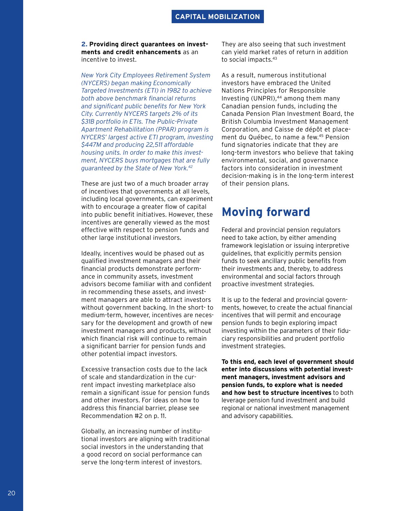**2. Providing direct guarantees on investments and credit enhancements** as an incentive to invest.

*New York City Employees Retirement System (NYCERS) began making Economically Targeted Investments (ETI) in 1982 to achieve both above benchmark financial returns and significant public benefits for New York City. Currently NYCERS targets 2% of its \$31B portfolio in ETIs. The Public-Private Apartment Rehabilitation (PPAR) program is NYCERS' largest active ETI program, investing \$447M and producing 22,511 affordable housing units. In order to make this investment, NYCERS buys mortgages that are fully guaranteed by the State of New York.42*

These are just two of a much broader array of incentives that governments at all levels, including local governments, can experiment with to encourage a greater flow of capital into public benefit initiatives. However, these incentives are generally viewed as the most effective with respect to pension funds and other large institutional investors.

Ideally, incentives would be phased out as qualified investment managers and their financial products demonstrate performance in community assets, investment advisors become familiar with and confident in recommending these assets, and investment managers are able to attract investors without government backing. In the short- to medium-term, however, incentives are necessary for the development and growth of new investment managers and products, without which financial risk will continue to remain a significant barrier for pension funds and other potential impact investors.

Excessive transaction costs due to the lack of scale and standardization in the current impact investing marketplace also remain a significant issue for pension funds and other investors. For ideas on how to address this financial barrier, please see Recommendation #2 on p. 11.

Globally, an increasing number of institutional investors are aligning with traditional social investors in the understanding that a good record on social performance can serve the long-term interest of investors.

They are also seeing that such investment can yield market rates of return in addition to social impacts.43

As a result, numerous institutional investors have embraced the United Nations Principles for Responsible Investing (UNPRI), $44$  among them many Canadian pension funds, including the Canada Pension Plan Investment Board, the British Columbia Investment Management Corporation, and Caisse de dépôt et placement du Québec, to name a few.45 Pension fund signatories indicate that they are long-term investors who believe that taking environmental, social, and governance factors into consideration in investment decision-making is in the long-term interest of their pension plans.

# **Moving forward**

Federal and provincial pension regulators need to take action, by either amending framework legislation or issuing interpretive guidelines, that explicitly permits pension funds to seek ancillary public benefits from their investments and, thereby, to address environmental and social factors through proactive investment strategies.

It is up to the federal and provincial governments, however, to create the actual financial incentives that will permit and encourage pension funds to begin exploring impact investing within the parameters of their fiduciary responsibilities and prudent portfolio investment strategies.

**To this end, each level of government should enter into discussions with potential investment managers, investment advisors and pension funds, to explore what is needed and how best to structure incentives** to both leverage pension fund investment and build regional or national investment management and advisory capabilities.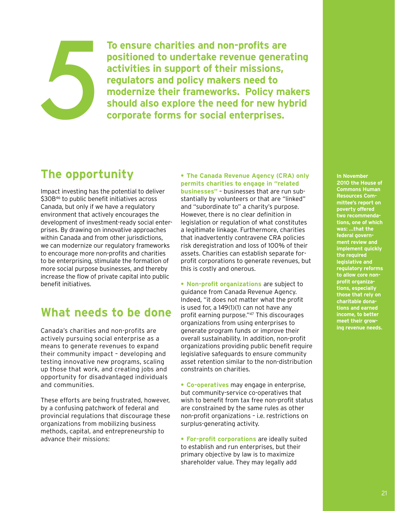# 5

**To ensure charities and non-profits are positioned to undertake revenue generating activities in support of their missions, regulators and policy makers need to modernize their frameworks. Policy makers should also explore the need for new hybrid corporate forms for social enterprises.**

# **The opportunity**

Impact investing has the potential to deliver \$30B<sup>46</sup> to public benefit initiatives across Canada, but only if we have a regulatory environment that actively encourages the development of investment-ready social enterprises. By drawing on innovative approaches within Canada and from other jurisdictions, we can modernize our regulatory frameworks to encourage more non-profits and charities to be enterprising, stimulate the formation of more social purpose businesses, and thereby increase the flow of private capital into public benefit initiatives.

# **What needs to be done**

Canada's charities and non-profits are actively pursuing social enterprise as a means to generate revenues to expand their community impact – developing and testing innovative new programs, scaling up those that work, and creating jobs and opportunity for disadvantaged individuals and communities.

These efforts are being frustrated, however, by a confusing patchwork of federal and provincial regulations that discourage these organizations from mobilizing business methods, capital, and entrepreneurship to advance their missions:

**• The Canada Revenue Agency (CRA) only permits charities to engage in "related businesses"** – businesses that are run substantially by volunteers or that are "linked" and "subordinate to" a charity's purpose. However, there is no clear definition in legislation or regulation of what constitutes a legitimate linkage. Furthermore, charities that inadvertently contravene CRA policies risk deregistration and loss of 100% of their assets. Charities can establish separate forprofit corporations to generate revenues, but this is costly and onerous.

**• Non-profit organizations** are subject to guidance from Canada Revenue Agency. Indeed, "it does not matter what the profit is used for, a 149(1)(1) can not have any profit earning purpose."47 This discourages organizations from using enterprises to generate program funds or improve their overall sustainability. In addition, non-profit organizations providing public benefit require legislative safeguards to ensure community asset retention similar to the non-distribution constraints on charities.

**• Co-operatives** may engage in enterprise, but community-service co-operatives that wish to benefit from tax free non-profit status are constrained by the same rules as other non-profit organizations – i.e. restrictions on surplus-generating activity.

**• For-profit corporations** are ideally suited to establish and run enterprises, but their primary objective by law is to maximize shareholder value. They may legally add

## **In November**

**2010 the House of Commons Human Resources Committee's report on poverty offered two recommendations, one of which was: …that the federal government review and implement quickly the required legislative and regulatory reforms to allow core nonprofit organizations, especially those that rely on charitable donations and earned income, to better meet their growing revenue needs.**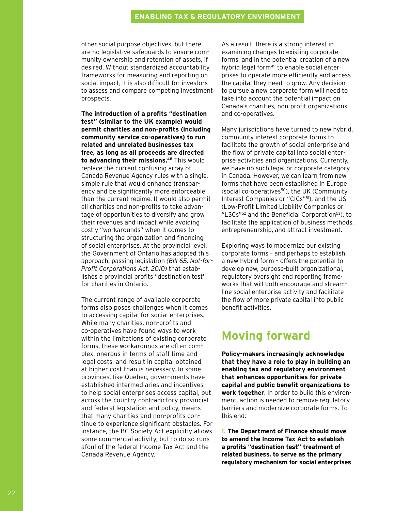# **ENABLING TAX & REGULATORY ENVIRONMENT**

other social purpose objectives, but there are no legislative safeguards to ensure community ownership and retention of assets, if desired. Without standardized accountability frameworks for measuring and reporting on social impact, it is also difficult for investors to assess and compare competing investment prospects.

**The introduction of a profits "destination test" (similar to the UK example) would permit charities and non-profits (including community service co-operatives) to run related and unrelated businesses tax free, as long as all proceeds are directed**  to advancing their missions.<sup>48</sup> This would replace the current confusing array of Canada Revenue Agency rules with a single, simple rule that would enhance transparency and be significantly more enforceable than the current regime. It would also permit all charities and non-profits to take advantage of opportunities to diversify and grow their revenues and impact while avoiding costly "workarounds" when it comes to structuring the organization and financing of social enterprises. At the provincial level, the Government of Ontario has adopted this approach, passing legislation *(Bill 65, Not-for-Profit Corporations Act, 2010)* that establishes a provincial profits "destination test" for charities in Ontario.

The current range of available corporate forms also poses challenges when it comes to accessing capital for social enterprises. While many charities, non-profits and co-operatives have found ways to work within the limitations of existing corporate forms, these workarounds are often complex, onerous in terms of staff time and legal costs, and result in capital obtained at higher cost than is necessary. In some provinces, like Quebec, governments have established intermediaries and incentives to help social enterprises access capital, but across the country contradictory provincial and federal legislation and policy, means that many charities and non-profits continue to experience significant obstacles. For instance, the BC Society Act explicitly allows some commercial activity, but to do so runs afoul of the federal Income Tax Act and the Canada Revenue Agency.

As a result, there is a strong interest in examining changes to existing corporate forms, and in the potential creation of a new hybrid legal form<sup>49</sup> to enable social enterprises to operate more efficiently and access the capital they need to grow. Any decision to pursue a new corporate form will need to take into account the potential impact on Canada's charities, non-profit organizations and co-operatives.

Many jurisdictions have turned to new hybrid, community interest corporate forms to facilitate the growth of social enterprise and the flow of private capital into social enterprise activities and organizations. Currently, we have no such legal or corporate category in Canada. However, we can learn from new forms that have been established in Europe (social co-operatives<sup>50</sup>), the UK (Community Interest Companies or "CICs"<sup>51</sup>), and the US (Low-Profit Limited Liability Companies or "L3Cs"52 and the Beneficial Corporation53), to facilitate the application of business methods, entrepreneurship, and attract investment.

Exploring ways to modernize our existing corporate forms – and perhaps to establish a new hybrid form – offers the potential to develop new, purpose-built organizational, regulatory oversight and reporting frameworks that will both encourage and streamline social enterprise activity and facilitate the flow of more private capital into public benefit activities.

# **Moving forward**

**Policy-makers increasingly acknowledge that they have a role to play in building an enabling tax and regulatory environment that enhances opportunities for private capital and public benefit organizations to work together**. In order to build this environment, action is needed to remove regulatory barriers and modernize corporate forms. To this end:

**1. The Department of Finance should move to amend the Income Tax Act to establish a profits "destination test" treatment of related business, to serve as the primary regulatory mechanism for social enterprises**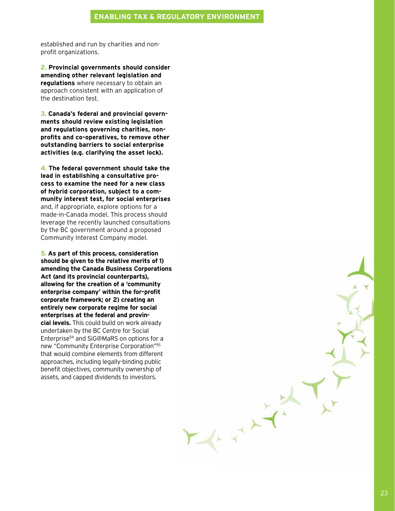# **ENABLING TAX & REGULATORY ENVIRONMENT**

established and run by charities and nonprofit organizations.

**2. Provincial governments should consider amending other relevant legislation and regulations** where necessary to obtain an approach consistent with an application of the destination test.

**3. Canada's federal and provincial governments should review existing legislation and regulations governing charities, nonprofits and co-operatives, to remove other outstanding barriers to social enterprise activities (e.g. clarifying the asset lock).** 

**4. The federal government should take the lead in establishing a consultative process to examine the need for a new class of hybrid corporation, subject to a community interest test, for social enterprises** and, if appropriate, explore options for a made-in-Canada model. This process should leverage the recently launched consultations by the BC government around a proposed Community Interest Company model.

**5. As part of this process, consideration should be given to the relative merits of 1) amending the Canada Business Corporations Act (and its provincial counterparts), allowing for the creation of a 'community enterprise company' within the for-profit corporate framework; or 2) creating an entirely new corporate regime for social enterprises at the federal and provincial levels.** This could build on work already undertaken by the BC Centre for Social Enterprise54 and SiG@MaRS on options for a new "Community Enterprise Corporation"55 that would combine elements from different approaches, including legally-binding public benefit objectives, community ownership of assets, and capped dividends to investors.

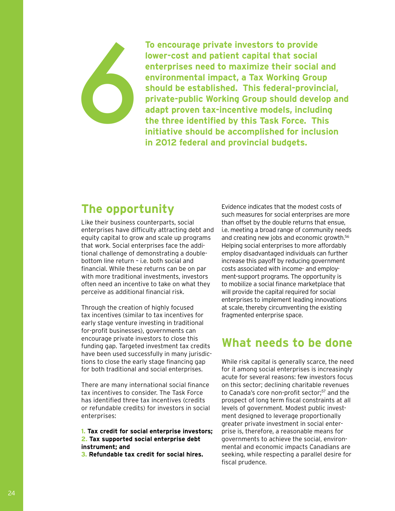**To encourage private investors to provide lower-cost and patient capital that social enterprises need to maximize their social and environmental impact, a Tax Working Group should be established. This federal-provincial, private-public Working Group should develop and adapt proven tax-incentive models, including the three identified by this Task Force. This initiative should be accomplished for inclusion in 2012 federal and provincial budgets.**

# **The opportunity**

&

Like their business counterparts, social enterprises have difficulty attracting debt and equity capital to grow and scale up programs that work. Social enterprises face the additional challenge of demonstrating a doublebottom line return – i.e. both social and financial. While these returns can be on par with more traditional investments, investors often need an incentive to take on what they perceive as additional financial risk.

Through the creation of highly focused tax incentives (similar to tax incentives for early stage venture investing in traditional for-profit businesses), governments can encourage private investors to close this funding gap. Targeted investment tax credits have been used successfully in many jurisdictions to close the early stage financing gap for both traditional and social enterprises.

There are many international social finance tax incentives to consider. The Task Force has identified three tax incentives (credits or refundable credits) for investors in social enterprises:

**1. Tax credit for social enterprise investors; 2. Tax supported social enterprise debt instrument; and** 

**3. Refundable tax credit for social hires.**

Evidence indicates that the modest costs of such measures for social enterprises are more than offset by the double returns that ensue, i.e. meeting a broad range of community needs and creating new jobs and economic growth.56 Helping social enterprises to more affordably employ disadvantaged individuals can further increase this payoff by reducing government costs associated with income- and employment-support programs. The opportunity is to mobilize a social finance marketplace that will provide the capital required for social enterprises to implement leading innovations at scale, thereby circumventing the existing fragmented enterprise space.

# **What needs to be done**

While risk capital is generally scarce, the need for it among social enterprises is increasingly acute for several reasons: few investors focus on this sector; declining charitable revenues to Canada's core non-profit sector;<sup>57</sup> and the prospect of long term fiscal constraints at all levels of government. Modest public investment designed to leverage proportionally greater private investment in social enterprise is, therefore, a reasonable means for governments to achieve the social, environmental and economic impacts Canadians are seeking, while respecting a parallel desire for fiscal prudence.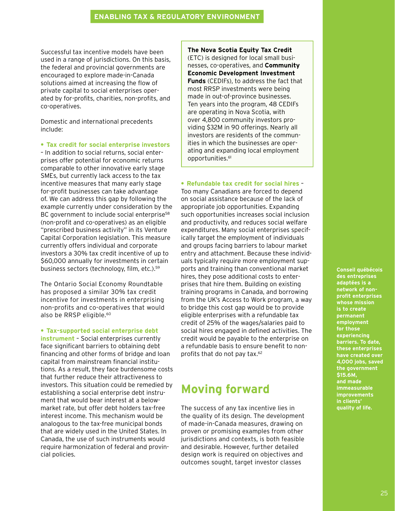Successful tax incentive models have been used in a range of jurisdictions. On this basis, the federal and provincial governments are encouraged to explore made-in-Canada solutions aimed at increasing the flow of private capital to social enterprises operated by for-profits, charities, non-profits, and co-operatives.

Domestic and international precedents include:

**• Tax credit for social enterprise investors**

– In addition to social returns, social enterprises offer potential for economic returns comparable to other innovative early stage SMEs, but currently lack access to the tax incentive measures that many early stage for-profit businesses can take advantage of. We can address this gap by following the example currently under consideration by the BC government to include social enterprise<sup>58</sup> (non-profit and co-operatives) as an eligible "prescribed business activity" in its Venture Capital Corporation legislation. This measure currently offers individual and corporate investors a 30% tax credit incentive of up to \$60,000 annually for investments in certain business sectors (technology, film, etc.).59

The Ontario Social Economy Roundtable has proposed a similar 30% tax credit incentive for investments in enterprising non-profits and co-operatives that would also be RRSP eligible.<sup>60</sup>

## **• Tax-supported social enterprise debt**

**instrument** – Social enterprises currently face significant barriers to obtaining debt financing and other forms of bridge and loan capital from mainstream financial institutions. As a result, they face burdensome costs that further reduce their attractiveness to investors. This situation could be remedied by establishing a social enterprise debt instrument that would bear interest at a belowmarket rate, but offer debt holders tax-free interest income. This mechanism would be analogous to the tax-free municipal bonds that are widely used in the United States. In Canada, the use of such instruments would require harmonization of federal and provincial policies.

**The Nova Scotia Equity Tax Credit** (ETC) is designed for local small businesses, co-operatives, and **Community Economic Development Investment Funds** (CEDIFs), to address the fact that most RRSP investments were being made in out-of-province businesses. Ten years into the program, 48 CEDIFs are operating in Nova Scotia, with over 4,800 community investors providing \$32M in 90 offerings. Nearly all investors are residents of the communities in which the businesses are operating and expanding local employment opportunities.<sup>61</sup>

**• Refundable tax credit for social hires** – Too many Canadians are forced to depend on social assistance because of the lack of appropriate job opportunities. Expanding such opportunities increases social inclusion and productivity, and reduces social welfare expenditures. Many social enterprises specifically target the employment of individuals and groups facing barriers to labour market entry and attachment. Because these individuals typically require more employment supports and training than conventional market hires, they pose additional costs to enterprises that hire them. Building on existing training programs in Canada, and borrowing from the UK's Access to Work program, a way to bridge this cost gap would be to provide eligible enterprises with a refundable tax credit of 25% of the wages/salaries paid to social hires engaged in defined activities. The credit would be payable to the enterprise on a refundable basis to ensure benefit to nonprofits that do not pay tax.62

# **Moving forward**

The success of any tax incentive lies in the quality of its design. The development of made-in-Canada measures, drawing on proven or promising examples from other jurisdictions and contexts, is both feasible and desirable. However, further detailed design work is required on objectives and outcomes sought, target investor classes

**Conseil québécois des entreprises adaptées is a network of nonprofit enterprises whose mission is to create permanent employment for those experiencing barriers. To date, these enterprises have created over 4,000 jobs, saved the government \$15.6M, and made immeasurable improvements in clients' quality of life.**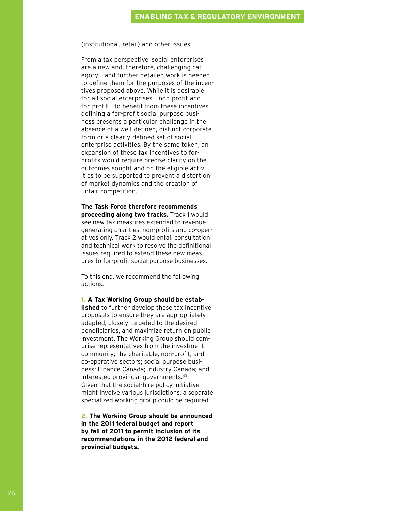(institutional, retail) and other issues.

From a tax perspective, social enterprises are a new and, therefore, challenging category – and further detailed work is needed to define them for the purposes of the incentives proposed above. While it is desirable for all social enterprises – non-profit and for-profit – to benefit from these incentives, defining a for-profit social purpose business presents a particular challenge in the absence of a well-defined, distinct corporate form or a clearly-defined set of social enterprise activities. By the same token, an expansion of these tax incentives to forprofits would require precise clarity on the outcomes sought and on the eligible activities to be supported to prevent a distortion of market dynamics and the creation of unfair competition.

**The Task Force therefore recommends proceeding along two tracks.** Track 1 would see new tax measures extended to revenuegenerating charities, non-profits and co-operatives only. Track 2 would entail consultation and technical work to resolve the definitional issues required to extend these new measures to for-profit social purpose businesses.

To this end, we recommend the following actions:

**1. A Tax Working Group should be estab-**

**lished** to further develop these tax incentive proposals to ensure they are appropriately adapted, closely targeted to the desired beneficiaries, and maximize return on public investment. The Working Group should comprise representatives from the investment community; the charitable, non-profit, and co-operative sectors; social purpose business; Finance Canada; Industry Canada; and interested provincial governments.<sup>63</sup> Given that the social-hire policy initiative might involve various jurisdictions, a separate specialized working group could be required.

**2. The Working Group should be announced in the 2011 federal budget and report by fall of 2011 to permit inclusion of its recommendations in the 2012 federal and provincial budgets.**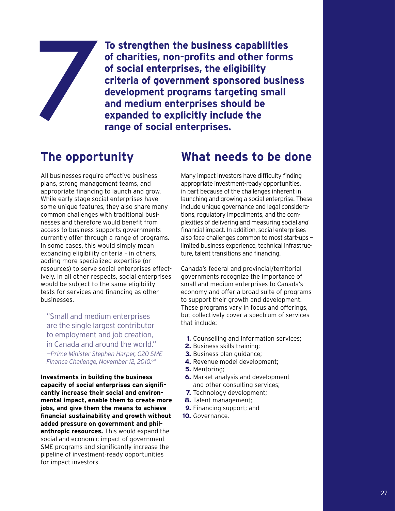**To strengthen the business capabilities of charities, non-profits and other forms of social enterprises, the eligibility criteria of government sponsored business development programs targeting small and medium enterprises should be expanded to explicitly include the range of social enterprises.**

# **The opportunity**

1

All businesses require effective business plans, strong management teams, and appropriate financing to launch and grow. While early stage social enterprises have some unique features, they also share many common challenges with traditional businesses and therefore would benefit from access to business supports governments currently offer through a range of programs. In some cases, this would simply mean expanding eligibility criteria – in others, adding more specialized expertise (or resources) to serve social enterprises effectively. In all other respects, social enterprises would be subject to the same eligibility tests for services and financing as other businesses.

"Small and medium enterprises are the single largest contributor to employment and job creation, in Canada and around the world." —*Prime Minister Stephen Harper, G20 SME Finance Challenge, November 12, 2010.64*

**Investments in building the business capacity of social enterprises can significantly increase their social and environmental impact, enable them to create more jobs, and give them the means to achieve financial sustainability and growth without added pressure on government and philanthropic resources.** This would expand the social and economic impact of government SME programs and significantly increase the pipeline of investment-ready opportunities for impact investors.

# **What needs to be done**

Many impact investors have difficulty finding appropriate investment-ready opportunities, in part because of the challenges inherent in launching and growing a social enterprise. These include unique governance and legal considerations, regulatory impediments, and the complexities of delivering and measuring social *and* financial impact. In addition, social enterprises also face challenges common to most start-ups limited business experience, technical infrastructure, talent transitions and financing.

Canada's federal and provincial/territorial governments recognize the importance of small and medium enterprises to Canada's economy and offer a broad suite of programs to support their growth and development. These programs vary in focus and offerings, but collectively cover a spectrum of services that include:

- **1.** Counselling and information services;
- **2.** Business skills training;
- **3.** Business plan guidance;
- **4.** Revenue model development;
- **5.** Mentoring;
- **6.** Market analysis and development and other consulting services;
- **7.** Technology development;
- **8.** Talent management;
- **9.** Financing support; and
- **10.** Governance.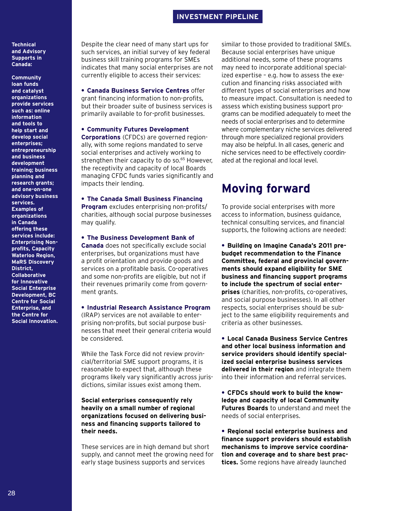# **INVESTMENT PIPELINE**

## **Technical and Advisory Supports in Canada:**

**Community loan funds and catalyst organizations provide services such as: online information and tools to help start and develop social enterprises; entrepreneurship and business development training; business planning and research grants; and one-on-one advisory business services. Examples of organizations in Canada offering these services include: Enterprising Nonprofits, Capacity Waterloo Region, MaRS Discovery District, Collaborative for Innovative Social Enterprise Development, BC Centre for Social Enterprise, and the Centre for Social Innovation.** 

Despite the clear need of many start ups for such services, an initial survey of key federal business skill training programs for SMEs indicates that many social enterprises are not currently eligible to access their services:

**• Canada Business Service Centres** offer grant financing information to non-profits, but their broader suite of business services is primarily available to for-profit businesses.

## **• Community Futures Development**

**Corporations** (CFDCs) are governed regionally, with some regions mandated to serve social enterprises and actively working to strengthen their capacity to do so.<sup>65</sup> However, the receptivity and capacity of local Boards managing CFDC funds varies significantly and impacts their lending.

## **• The Canada Small Business Financing**

**Program** excludes enterprising non-profits/ charities, although social purpose businesses may qualify.

### **• The Business Development Bank of**

**Canada** does not specifically exclude social enterprises, but organizations must have a profit orientation and provide goods and services on a profitable basis. Co-operatives and some non-profits are eligible, but not if their revenues primarily come from government grants.

**• Industrial Research Assistance Program** (IRAP) services are not available to enterprising non-profits, but social purpose businesses that meet their general criteria would

be considered.

While the Task Force did not review provincial/territorial SME support programs, it is reasonable to expect that, although these programs likely vary significantly across jurisdictions, similar issues exist among them.

## **Social enterprises consequently rely heavily on a small number of regional organizations focused on delivering business and financing supports tailored to their needs.**

These services are in high demand but short supply, and cannot meet the growing need for early stage business supports and services

similar to those provided to traditional SMEs. Because social enterprises have unique additional needs, some of these programs may need to incorporate additional specialized expertise – e.g. how to assess the execution and financing risks associated with different types of social enterprises and how to measure impact. Consultation is needed to assess which existing business support programs can be modified adequately to meet the needs of social enterprises and to determine where complementary niche services delivered through more specialized regional providers may also be helpful. In all cases, generic and niche services need to be effectively coordinated at the regional and local level.

# **Moving forward**

To provide social enterprises with more access to information, business guidance, technical consulting services, and financial supports, the following actions are needed:

**• Building on Imagine Canada's 2011 prebudget recommendation to the Finance Committee, federal and provincial governments should expand eligibility for SME business and financing support programs to include the spectrum of social enterprises** (charities, non-profits, co-operatives, and social purpose businesses). In all other respects, social enterprises should be subject to the same eligibility requirements and criteria as other businesses.

**• Local Canada Business Service Centres and other local business information and service providers should identify specialized social enterprise business services delivered in their region** and integrate them into their information and referral services.

**• CFDCs should work to build the knowledge and capacity of local Community Futures Boards** to understand and meet the needs of social enterprises.

**• Regional social enterprise business and finance support providers should establish mechanisms to improve service coordination and coverage and to share best practices.** Some regions have already launched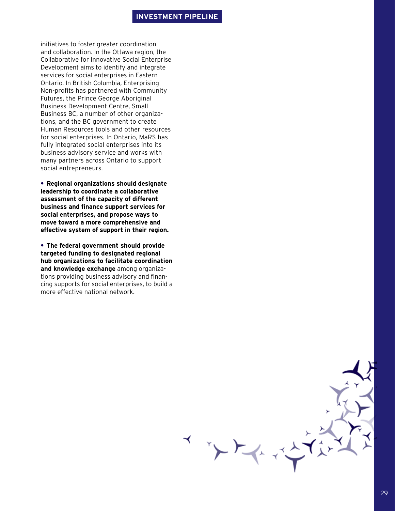## **INVESTMENT PIPELINE**

 $\sum_{i=1}^{n} \frac{1}{i} \sum_{i=1}^{n} \frac{1}{i} \sum_{i=1}^{n} \frac{1}{i} \sum_{i=1}^{n} \frac{1}{i} \sum_{i=1}^{n} \frac{1}{i} \sum_{i=1}^{n} \frac{1}{i} \sum_{i=1}^{n} \frac{1}{i} \sum_{i=1}^{n} \frac{1}{i} \sum_{i=1}^{n} \frac{1}{i} \sum_{i=1}^{n} \frac{1}{i} \sum_{i=1}^{n} \frac{1}{i} \sum_{i=1}^{n} \frac{1}{i} \sum_{i=1}^{n} \frac{1}{i$ 

initiatives to foster greater coordination and collaboration. In the Ottawa region, the Collaborative for Innovative Social Enterprise Development aims to identify and integrate services for social enterprises in Eastern Ontario. In British Columbia, Enterprising Non-profits has partnered with Community Futures, the Prince George Aboriginal Business Development Centre, Small Business BC, a number of other organizations, and the BC government to create Human Resources tools and other resources for social enterprises. In Ontario, MaRS has fully integrated social enterprises into its business advisory service and works with many partners across Ontario to support social entrepreneurs.

**• Regional organizations should designate leadership to coordinate a collaborative assessment of the capacity of different business and finance support services for social enterprises, and propose ways to move toward a more comprehensive and effective system of support in their region.** 

**• The federal government should provide targeted funding to designated regional hub organizations to facilitate coordination and knowledge exchange** among organizations providing business advisory and financing supports for social enterprises, to build a more effective national network.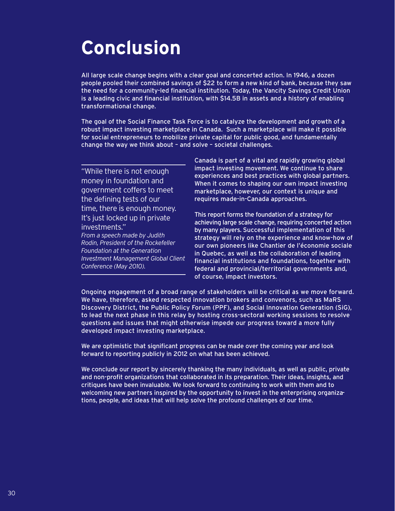# **Conclusion**

All large scale change begins with a clear goal and concerted action. In 1946, a dozen people pooled their combined savings of \$22 to form a new kind of bank, because they saw the need for a community-led financial institution. Today, the Vancity Savings Credit Union is a leading civic and financial institution, with \$14.5B in assets and a history of enabling transformational change.

The goal of the Social Finance Task Force is to catalyze the development and growth of a robust impact investing marketplace in Canada. Such a marketplace will make it possible for social entrepreneurs to mobilize private capital for public good, and fundamentally change the way we think about – and solve – societal challenges.

"While there is not enough money in foundation and government coffers to meet the defining tests of our time, there is enough money. It's just locked up in private investments." *From a speech made by Judith Rodin, President of the Rockefeller Foundation at the Generation Investment Management Global Client Conference (May 2010).* 

Canada is part of a vital and rapidly growing global impact investing movement. We continue to share experiences and best practices with global partners. When it comes to shaping our own impact investing marketplace, however, our context is unique and requires made-in-Canada approaches.

This report forms the foundation of a strategy for achieving large scale change, requiring concerted action by many players. Successful implementation of this strategy will rely on the experience and know-how of our own pioneers like Chantier de l'économie sociale in Quebec, as well as the collaboration of leading financial institutions and foundations, together with federal and provincial/territorial governments and, of course, impact investors.

Ongoing engagement of a broad range of stakeholders will be critical as we move forward. We have, therefore, asked respected innovation brokers and convenors, such as MaRS Discovery District, the Public Policy Forum (PPF), and Social Innovation Generation (SiG), to lead the next phase in this relay by hosting cross-sectoral working sessions to resolve questions and issues that might otherwise impede our progress toward a more fully developed impact investing marketplace.

We are optimistic that significant progress can be made over the coming year and look forward to reporting publicly in 2012 on what has been achieved.

We conclude our report by sincerely thanking the many individuals, as well as public, private and non-profit organizations that collaborated in its preparation. Their ideas, insights, and critiques have been invaluable. We look forward to continuing to work with them and to welcoming new partners inspired by the opportunity to invest in the enterprising organizations, people, and ideas that will help solve the profound challenges of our time.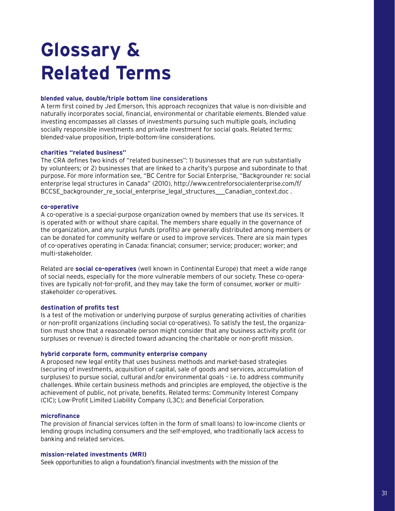# **Glossary & Related Terms**

## **blended value, double/triple bottom line considerations**

A term first coined by Jed Emerson, this approach recognizes that value is non-divisible and naturally incorporates social, financial, environmental or charitable elements. Blended value investing encompasses all classes of investments pursuing such multiple goals, including socially responsible investments and private investment for social goals. Related terms: blended-value proposition, triple-bottom-line considerations.

## **charities "related business"**

The CRA defines two kinds of "related businesses": 1) businesses that are run substantially by volunteers; or 2) businesses that are linked to a charity's purpose and subordinate to that purpose. For more information see, "BC Centre for Social Enterprise, "Backgrounder re: social enterprise legal structures in Canada" (2010), http://www.centreforsocialenterprise.com/f/ BCCSE\_backgrounder\_re\_social\_enterprise\_legal\_structures\_\_\_Canadian\_context.doc .

## **co-operative**

A co-operative is a special-purpose organization owned by members that use its services. It is operated with or without share capital. The members share equally in the governance of the organization, and any surplus funds (profits) are generally distributed among members or can be donated for community welfare or used to improve services. There are six main types of co-operatives operating in Canada: financial; consumer; service; producer; worker; and multi-stakeholder.

Related are **social co-operatives** (well known in Continental Europe) that meet a wide range of social needs, especially for the more vulnerable members of our society. These co-operatives are typically not-for-profit, and they may take the form of consumer, worker or multistakeholder co-operatives.

## **destination of profits test**

Is a test of the motivation or underlying purpose of surplus generating activities of charities or non-profit organizations (including social co-operatives). To satisfy the test, the organization must show that a reasonable person might consider that any business activity profit (or surpluses or revenue) is directed toward advancing the charitable or non-profit mission.

## **hybrid corporate form, community enterprise company**

A proposed new legal entity that uses business methods and market-based strategies (securing of investments, acquisition of capital, sale of goods and services, accumulation of surpluses) to pursue social, cultural and/or environmental goals – i.e. to address community challenges. While certain business methods and principles are employed, the objective is the achievement of public, not private, benefits. Related terms: Community Interest Company (CIC); Low-Profit Limited Liability Company (L3C); and Beneficial Corporation.

## **microfinance**

The provision of financial services (often in the form of small loans) to low-income clients or lending groups including consumers and the self-employed, who traditionally lack access to banking and related services.

## **mission-related investments (MRI)**

Seek opportunities to align a foundation's financial investments with the mission of the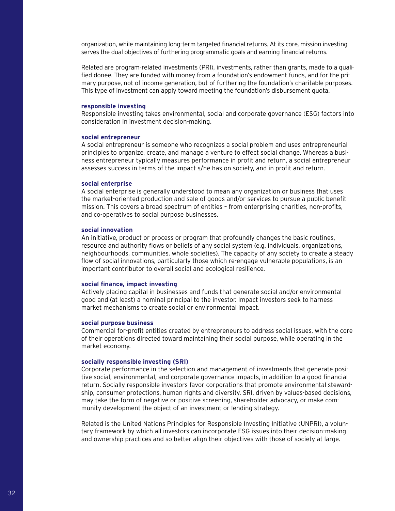organization, while maintaining long-term targeted financial returns. At its core, mission investing serves the dual objectives of furthering programmatic goals and earning financial returns.

Related are program-related investments (PRI), investments, rather than grants, made to a qualified donee. They are funded with money from a foundation's endowment funds, and for the primary purpose, not of income generation, but of furthering the foundation's charitable purposes. This type of investment can apply toward meeting the foundation's disbursement quota.

## **responsible investing**

Responsible investing takes environmental, social and corporate governance (ESG) factors into consideration in investment decision-making.

## **social entrepreneur**

A social entrepreneur is someone who recognizes a social problem and uses entrepreneurial principles to organize, create, and manage a venture to effect social change. Whereas a business entrepreneur typically measures performance in profit and return, a social entrepreneur assesses success in terms of the impact s/he has on society, and in profit and return.

### **social enterprise**

A social enterprise is generally understood to mean any organization or business that uses the market-oriented production and sale of goods and/or services to pursue a public benefit mission. This covers a broad spectrum of entities – from enterprising charities, non-profits, and co-operatives to social purpose businesses.

## **social innovation**

An initiative, product or process or program that profoundly changes the basic routines, resource and authority flows or beliefs of any social system (e.g. individuals, organizations, neighbourhoods, communities, whole societies). The capacity of any society to create a steady flow of social innovations, particularly those which re-engage vulnerable populations, is an important contributor to overall social and ecological resilience.

## **social finance, impact investing**

Actively placing capital in businesses and funds that generate social and/or environmental good and (at least) a nominal principal to the investor. Impact investors seek to harness market mechanisms to create social or environmental impact.

## **social purpose business**

Commercial for-profit entities created by entrepreneurs to address social issues, with the core of their operations directed toward maintaining their social purpose, while operating in the market economy.

## **socially responsible investing (SRI)**

Corporate performance in the selection and management of investments that generate positive social, environmental, and corporate governance impacts, in addition to a good financial return. Socially responsible investors favor corporations that promote environmental stewardship, consumer protections, human rights and diversity. SRI, driven by values-based decisions, may take the form of negative or positive screening, shareholder advocacy, or make community development the object of an investment or lending strategy.

Related is the United Nations Principles for Responsible Investing Initiative (UNPRI), a voluntary framework by which all investors can incorporate ESG issues into their decision-making and ownership practices and so better align their objectives with those of society at large.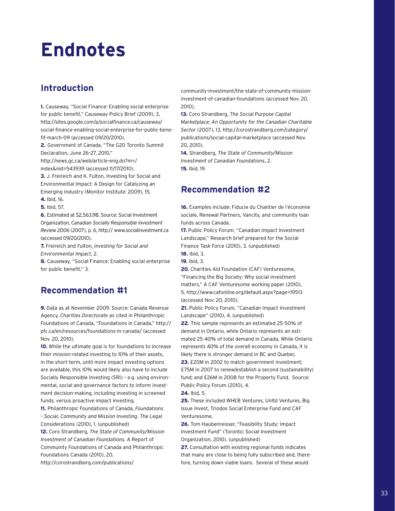# **Endnotes**

# **Introduction**

**1.** Causeway, "Social Finance: Enabling social enterprise for public benefit," Causeway Policy Brief (2009), 3, http://sites.google.com/a/socialfinance.ca/causeway/ social-finance-enabling-social-enterprise-for-public-benefit-march-09 (accessed 09/20/2010).

**2.** Government of Canada, "The G20 Toronto Summit Declaration, June 26–27, 2010,"

http://news.gc.ca/web/article-eng.do?m=/ index&nid=543939 (accessed 11/17/2010).

**3.** J. Freireich and K. Fulton, Investing for Social and Environmental Impact: A Design for Catalyzing an Emerging Industry (Monitor Institute: 2009), 15.

**4.** Ibid, 16.

**5.** Ibid, 57.

**6.** Estimated at \$2,563.9B. Source: Social Investment Organization, *Canadian Socially Responsible Investment Review 2006* (2007), p. 6, http:// www.socialinvestment.ca (accessed 09/20/2010).

**7.** Freireich and Fulton, *Investing for Social and Environmental Impact*, 2.

**8.** Causeway, "Social Finance: Enabling social enterprise for public benefit," 3.

# **Recommendation #1**

**9.** Data as at November 2009. Source: Canada Revenue Agency, *Charities Directorate* as cited in Philanthropic Foundations of Canada, "Foundations in Canada," http:// pfc.ca/en/resources/foundations-in-canada/ (accessed Nov. 20, 2010).

**10.** While the ultimate goal is for foundations to increase their mission-related investing to 10% of their assets, in the short-term, until more impact investing options are available, this 10% would likely also have to include Socially Responsible Investing (SRI) – e.g. using environmental, social and governance factors to inform investment decision-making, including investing in screened funds, versus proactive impact investing.

**11.** Philanthropic Foundations of Canada, *Foundations – Social, Community and Mission Investing. The Legal Considerations* (2010), 1. (unpublished)

**12.** Coro Strandberg, *The State of Community/Mission Investment of Canadian Foundations.* A Report of Community Foundations of Canada and Philanthropic Foundations Canada (2010), 20.

http://corostrandberg.com/publications/

community-investment/the-state-of-community-missioninvestment-of-canadian-foundations (accessed Nov. 20. 2010).

**13.** Coro Strandberg, *The Social Purpose Capital Marketplace: An Opportunity for the Canadian Charitable Sector* (2007), 13, http://corostrandberg.com/category/ publications/social-capital-marketplace (accessed Nov. 20, 2010).

**14.** Strandberg, *The State of Community/Mission Investment of Canadian Foundations*, 2. **15.** Ibid, 19.

# **Recommendation #2**

**16.** Examples include: Fiducie du Chantier de l'économie sociale, Renewal Partners, Vancity, and community loan funds across Canada.

**17.** Public Policy Forum, "Canadian Impact Investment Landscape," Research brief prepared for the Social Finance Task Force (2010), 3. (unpublished) **18.** Ibid, 3.

**19.** Ibid, 3.

**20.** Charities Aid Foundation (CAF) Venturesome, "Financing the Big Society: Why social investment matters," A CAF Venturesome working paper (2010), 5, http://www.cafonline.org/default.aspx?page=19513 (accessed Nov. 20, 2010).

**21.** Public Policy Forum, "Canadian Impact Investment Landscape" (2010), 4. (unpublished)

**22.** This sample represents an estimated 25-50% of demand in Ontario, while Ontario represents an estimated 25-40% of total demand in Canada. While Ontario represents 40% of the overall economy in Canada, it is likely there is stronger demand in BC and Quebec.

**23.** £20M in 2002 to match government investment; £75M in 2007 to renew/establish a second (sustainability) fund; and £26M in 2008 for the Property Fund. Source: Public Policy Forum (2010), 4.

**24.** Ibid, 5.

**25.** These included WHEB Ventures, Unltd Ventures, Big Issue Invest, Triodos Social Enterprise Fund and CAF Venturesome.

**26.** Tom Haubenreisser, "Feasibility Study: Impact Investment Fund" (Toronto: Social Investment Organization, 2010). (unpublished)

**27.** Consultation with existing regional funds indicates that many are close to being fully subscribed and, therefore, turning down viable loans. Several of these would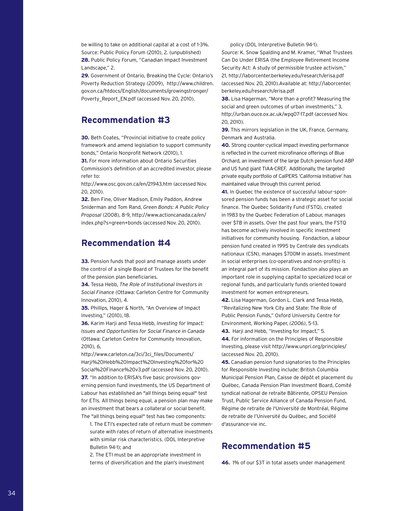be willing to take on additional capital at a cost of 1-3%. Source: Public Policy Forum (2010), 2. (unpublished) **28.** Public Policy Forum, "Canadian Impact Investment Landscape," 2.

**29.** Government of Ontario, Breaking the Cycle: Ontario's Poverty Reduction Strategy (2009), http://www.children. gov.on.ca/htdocs/English/documents/growingstronger/ Poverty\_Report\_EN.pdf (accessed Nov. 20, 2010).

# **Recommendation #3**

**30.** Beth Coates, "Provincial initiative to create policy framework and amend legislation to support community bonds," Ontario Nonprofit Network (2010), 1.

**31.** For more information about Ontario Securities Commission's definition of an accredited investor, please refer to:

http://www.osc.gov.on.ca/en/21943.htm (accessed Nov. 20, 2010).

**32.** Ben Fine, Oliver Madison, Emily Paddon, Andrew Sniderman and Tom Rand, *Green Bonds: A Public Policy Proposal* (2008), 8-9, http://www.actioncanada.ca/en/ index.php?s=green+bonds (accessed Nov. 20, 2010).

# **Recommendation #4**

**33.** Pension funds that pool and manage assets under the control of a single Board of Trustees for the benefit of the pension plan beneficiaries.

**34.** Tessa Hebb, *The Role of Institutional Investors in Social Finance* (Ottawa: Carleton Centre for Community Innovation, 2010), 4.

**35.** Phillips, Hager & North, "An Overview of Impact Investing," (2010), 18.

**36.** Karim Harji and Tessa Hebb, *Investing for Impact: Issues and Opportunities for Social Finance in Canada*  (Ottawa: Carleton Centre for Community Innovation, 2010), 6,

http://www.carleton.ca/3ci/3ci\_files/Documents/ Harji%20Hebb%20Impact%20Investing%20for%20 Social%20Finance%20v3.pdf (accessed Nov. 20, 2010). **37.** "In addition to ERISA's five basic provisions governing pension fund investments, the US Department of Labour has established an "all things being equal" test for ETIs. All things being equal, a pension plan may make an investment that bears a collateral or social benefit. The "all things being equal" test has two components:

1. The ETI's expected rate of return must be commensurate with rates of return of alternative investments with similar risk characteristics. (DOL Interpretive Bulletin 94-1); and

2. The ETI must be an appropriate investment in terms of diversification and the plan's investment policy (DOL Interpretive Bulletin 94-1).

*Source:* K. Snow Spalding and M. Kramer, "What Trustees Can Do Under ERISA (the Employee Retirement Income Security Act: A study of permissible trustee activism," 21, http://laborcenter.berkeley.edu/research/erisa.pdf (accessed Nov. 20, 2010).Available at: http://laborcenter. berkeley.edu/research/erisa.pdf

**38.** Lisa Hagerman, "More than a profit? Measuring the social and green outcomes of urban investments," 3, http://urban.ouce.ox.ac.uk/wpg07-17.pdf (accessed Nov. 20, 2010).

**39.** This mirrors legislation in the UK, France, Germany, Denmark and Australia.

**40.** Strong counter-cyclical impact investing performance is reflected in the current microfinance offerings of Blue Orchard, an investment of the large Dutch pension fund ABP and US fund giant TIAA-CREF. Additionally, the targeted private equity portfolio of CalPERS 'California Initiative' has maintained value through this current period.

**41.** In Quebec the existence of successful labour-sponsored pension funds has been a strategic asset for social finance. The Quebec Solidarity Fund (FSTQ), created in 1983 by the Quebec Federation of Labour, manages over \$7B in assets. Over the past four years, the FSTQ has become actively involved in specific investment initiatives for community housing. Fondaction, a labour pension fund created in 1995 by Centrale des syndicats nationaux (CSN), manages \$700M in assets. Investment in social enterprises (co-operatives and non-profits) is an integral part of its mission. Fondaction also plays an important role in supplying capital to specialized local or regional funds, and particularly funds oriented toward investment for women entrepreneurs.

**42.** Lisa Hagerman, Gordon L. Clark and Tessa Hebb, "Revitalizing New York City and State: The Role of Public Pension Funds," Oxford University Centre for Environment, Working Paper, *(2006)*, 5-13.

**43.** Harji and Hebb, "Investing for Impact," 5. **44.** For information on the Principles of Responsible Investing, please visit http://www.unpri.org/principles/ (accessed Nov. 20, 2010).

**45.** Canadian pension fund signatories to the Principles for Responsible Investing include: British Columbia Municipal Pension Plan, Caisse de dépôt et placement du Québec, Canada Pension Plan Investment Board, Comité syndical national de retraite Bâtirente, OPSEU Pension Trust, Public Service Alliance of Canada Pension Fund, Régime de retraite de l'Université de Montréal, Régime de retraite de l'Université du Québec, and Société d'assurance-vie inc.

# **Recommendation #5**

**46.** 1% of our \$3T in total assets under management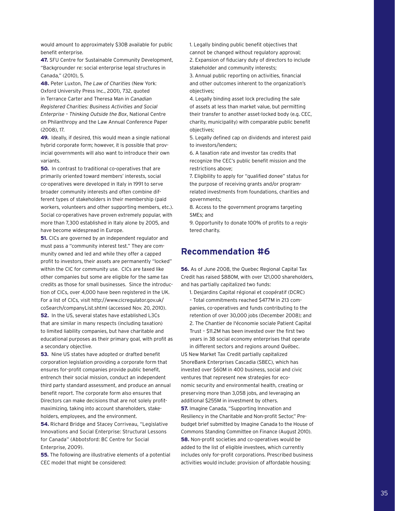would amount to approximately \$30B available for public benefit enterprise.

**47.** SFU Centre for Sustainable Community Development, "Backgrounder re: social enterprise legal structures in Canada," (2010), 5.

**48.** Peter Luxton, *The Law of Charities* (New York: Oxford University Press Inc., 2001), 732, quoted in Terrance Carter and Theresa Man in *Canadian Registered Charities: Business Activities and Social Enterprise – Thinking Outside the Box*, National Centre on Philanthropy and the Law Annual Conference Paper (2008), 17.

**49.** Ideally, if desired, this would mean a single national hybrid corporate form; however, it is possible that provincial governments will also want to introduce their own variants.

**50.** In contrast to traditional co-operatives that are primarily oriented toward members' interests, social co-operatives were developed in Italy in 1991 to serve broader community interests and often combine different types of stakeholders in their membership (paid workers, volunteers and other supporting members, etc.). Social co-operatives have proven extremely popular, with more than 7,300 established in Italy alone by 2005, and have become widespread in Europe.

**51.** CICs are governed by an independent regulator and must pass a "community interest test." They are community owned and led and while they offer a capped profit to investors, their assets are permanently "locked" within the CIC for community use. CICs are taxed like other companies but some are eligible for the same tax credits as those for small businesses. Since the introduction of CICs, over 4,000 have been registered in the UK. For a list of CICs, visit http://www.cicregulator.gov.uk/ coSearch/companyList.shtml (accessed Nov. 20, 2010). **52.** In the US, several states have established L3Cs that are similar in many respects (including taxation) to limited liability companies, but have charitable and educational purposes as their primary goal, with profit as a secondary objective.

**53.** Nine US states have adopted or drafted benefit corporation legislation providing a corporate form that ensures for-profit companies provide public benefit, entrench their social mission, conduct an independent third party standard assessment, and produce an annual benefit report. The corporate form also ensures that Directors can make decisions that are not solely profitmaximizing, taking into account shareholders, stakeholders, employees, and the environment.

**54.** Richard Bridge and Stacey Corriveau, "Legislative Innovations and Social Enterprise: Structural Lessons for Canada" (Abbotsford: BC Centre for Social Enterprise, 2009).

**55.** The following are illustrative elements of a potential CEC model that might be considered:

1. Legally binding public benefit objectives that cannot be changed without regulatory approval; 2. Expansion of fiduciary duty of directors to include stakeholder and community interests;

3. Annual public reporting on activities, financial and other outcomes inherent to the organization's objectives;

4. Legally binding asset lock precluding the sale of assets at less than market value, but permitting their transfer to another asset-locked body (e.g. CEC, charity, municipality) with comparable public benefit objectives;

5. Legally defined cap on dividends and interest paid to investors/lenders;

6. A taxation rate and investor tax credits that recognize the CEC's public benefit mission and the restrictions above;

7. Eligibility to apply for "qualified donee" status for the purpose of receiving grants and/or programrelated investments from foundations, charities and governments;

8. Access to the government programs targeting SMEs; and

9. Opportunity to donate 100% of profits to a registered charity.

# **Recommendation #6**

**56.** As of June 2008, the Quebec Regional Capital Tax Credit has raised \$880M, with over 121,000 shareholders, and has partially capitalized two funds:

1. Desjardins Capital régional et coopératif (DCRC) – Total commitments reached \$477M in 213 companies, co-operatives and funds contributing to the retention of over 30,000 jobs (December 2008); and 2. The Chantier de l'économie sociale Patient Capital Trust – \$11.2M has been invested over the first two years in 38 social economy enterprises that operate

in different sectors and regions around Québec. US New Market Tax Credit partially capitalized ShoreBank Enterprises Cascadia (SBEC), which has invested over \$60M in 400 business, social and civic ventures that represent new strategies for economic security and environmental health, creating or preserving more than 3,058 jobs, and leveraging an additional \$255M in investment by others.

**57.** Imagine Canada, "Supporting Innovation and Resiliency in the Charitable and Non-profit Sector," Prebudget brief submitted by Imagine Canada to the House of Commons Standing Committee on Finance (August 2010). **58.** Non-profit societies and co-operatives would be added to the list of eligible investees, which currently includes only for-profit corporations. Prescribed business activities would include: provision of affordable housing;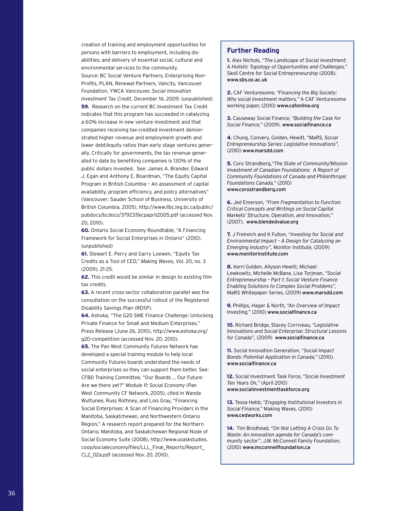creation of training and employment opportunities for persons with barriers to employment, including disabilities; and delivery of essential social, cultural and environmental services to the community. Source: BC Social Venture Partners, Enterprising Non-Profits, PLAN, Renewal Partners, Vancity, Vancouver Foundation, YWCA Vancouver, *Social Innovation Investment Tax Credit*, December 16, 2009. (unpublished) **59.** Research on the current BC Investment Tax Credit indicates that this program has succeeded in catalyzing a 60% increase in new venture investment and that companies receiving tax-credited investment demonstrated higher revenue and employment growth and lower debt/equity ratios than early stage ventures generally. Critically for governments, the tax revenue generated to date by benefiting companies is 130% of the public dollars invested. See: James A. Brander, Edward J. Egan and Anthony E. Boardman, "The Equity Capital Program in British Columbia – An assessment of capital availability, program efficiency, and policy alternatives" (Vancouver: Sauder School of Business, University of British Columbia, 2005), http://www.llbc.leg.bc.ca/public/ pubdocs/bcdocs/379237/ecpapril2005.pdf (accessed Nov. 20, 2010).

**60.** Ontario Social Economy Roundtable, "A Financing Framework for Social Enterprises in Ontario" (2010). (unpublished)

**61.** Stewart E. Perry and Garry Loewen, "Equity Tax Credits as a Tool of CED," *Making Waves*, Vol. 20, no. 3 (2009), 21-25.

**62.** This credit would be similar in design to existing film tax credits.

**63.** A recent cross-sector collaboration parallel was the consultation on the successful rollout of the Registered Disability Savings Plan (RDSP).

**64.** Ashoka, "The G20 SME Finance Challenge: Unlocking Private Finance for Small and Medium Enterprises," Press Release (June 26, 2010), http://www.ashoka.org/ g20-competition (accessed Nov. 20, 2010).

**65.** The Pan West Community Futures Network has developed a special training module to help local Community Futures boards understand the needs of social enterprises so they can support them better. See: CFBD Training Committee, "Our Boards … Our Future: Are we there yet?" *Module 11: Social Economy* (Pan West Community CF Network, 2005), cited in Wanda Wuttunee, Russ Rothney, and Lois Gray, "Financing Social Enterprises: A Scan of Financing Providers in the Manitoba, Saskatchewan, and Northwestern Ontario Region," A research report prepared for the Northern Ontario, Manitoba, and Saskatchewan Regional Node of Social Economy Suite (2008), http://www.usaskstudies. coop/socialeconomy/files/LLL\_Final\_Reports/Report\_ CL2\_02a.pdf (accessed Nov. 20, 2010).

## **Further Reading**

**1.** Alex Nichols, *"The Landscape of Social Investment: A Holistic Topology of Opportunities and Challenges,"* Skoll Centre for Social Entrepreneurship (2008). www.sbs.ox.ac.uk

**2.** CAF Venturesome, *"Financing the Big Society: Why social investment matters,"* A CAF Venturesome working paper, (2010) www.cafonline.org

**3.** Causeway Social Finance, *"Building the Case for Social Finance,"* (2009). www.socialfinance.ca

**4.** Chung, Convery, Golden, Hewitt, *"MaRS, Social Entrepreneurship Series: Legislative Innovations"*, (2010) www.marsdd.com

**5.** Coro Strandberg,*"The State of Community/Mission Investment of Canadian Foundations: A Report of Community Foundations of Canada and Philanthropic Foundations Canada,"* (2010) www.corostrandberg.com

**6.** Jed Emerson, *"From Fragmentation to Function: Critical Concepts and Writings on Social Capital Markets' Structure, Operation, and Innovation,"* (2007). www.blendedvalue.org

**7.** J Freireich and K Fulton, *"Investing for Social and Environmental Impact – A Design for Catalyzing an Emerging Industry"*, Monitor Institute, (2009) www.monitorinstitute.com

**8.** Kerri Golden, Allyson Hewitt, Michael Lewkowitz, Michelle McBane, Lisa Torjman, *"Social Entrepreneurship – Part 1: Social Venture Finance Enabling Solutions to Complex Social Problems"*, MaRS Whitepaper Series, (2009) www.marsdd.com

**9.** Phillips, Hager & North, *"An Overview of Impact Investing,"* (2010) www.socialfinance.ca

**10.** Richard Bridge, Stacey Corriveau, *"Legislative Innovations and Social Enterprise: Structural Lessons for Canada"*, (2009) www.socialfinance.ca

**11.** Social Innovation Generation, *"Social Impact Bonds: Potential Application in Canada,"* (2010). www.socialfinance.ca

**12.** Social Investment Task Force, *"Social Investment Ten Years On,"* (April 2010)

www.socialinvestmenttaskforce.org

**13.** Tessa Hebb, *"Engaging Institutional Investors in Social Finance,"* Making Waves, (2010) www.cedworks.com

**14.** Tim Brodhead, *"On Not Letting A Crisis Go To Waste: An innovation agenda for Canada's community sector"*, J.W. McConnell Family Foundation, (2010) www.mcconnellfoundation.ca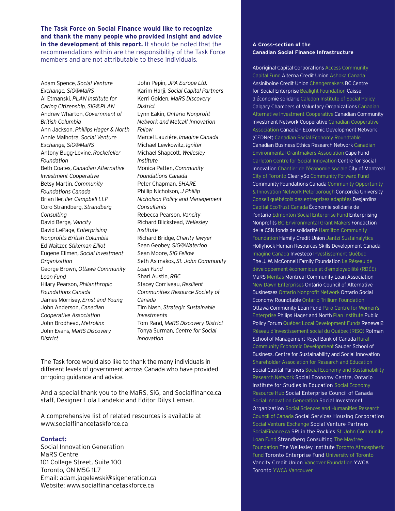**The Task Force on Social Finance would like to recognize and thank the many people who provided insight and advice in the development of this report.** It should be noted that the recommendations within are the responsibility of the Task Force members and are not attributable to these individuals.

Adam Spence, *Social Venture Exchange, SiG@MaRS* Al Etmanski, *PLAN Institute for Caring Citizenship, SiG@PLAN* Andrew Wharton, *Government of British Columbia* Ann Jackson, *Phillips Hager & North* Annie Malhotra, *Social Venture Exchange, SiG@MaRS* Antony Bugg-Levine, *Rockefeller Foundation* Beth Coates, *Canadian Alternative Investment Cooperative* Betsy Martin, *Community Foundations Canada*  Brian Iler, *Iler Campbell LLP* Coro Strandberg, *Strandberg Consulting* David Berge, *Vancity* David LePage, *Enterprising Nonprofits British Columbia* Ed Waitzer, *Stikeman Elliot* Eugene Ellmen, *Social Investment Organization* George Brown, *Ottawa Community Loan Fund* Hilary Pearson, *Philanthropic Foundations Canada* James Morrisey, *Ernst and Young* John Anderson, *Canadian Cooperative Association* John Brodhead, *Metrolinx* John Evans, *MaRS Discovery District*

John Pepin, *JPA Europe Ltd.* Karim Harji, *Social Capital Partners* Kerri Golden, *MaRS Discovery District* Lynn Eakin, *Ontario Nonprofit Network and Metcalf Innovation Fellow* Marcel Lauziére, *Imagine Canada* Michael Lewkowitz, *Igniter* Michael Shapcott, *Wellesley Institute* Monica Patten, *Community Foundations Canada* Peter Chapman, *SHARE* Phillip Nicholson, *J Phillip Nicholson Policy and Management Consultants* Rebecca Pearson, *Vancity* Richard Blickstead, *Wellesley Institute* Richard Bridge, *Charity lawyer* Sean Geobey, *SiG@Waterloo* Sean Moore, *SiG Fellow*  Seth Asimakos, *St. John Community Loan Fund* Shari Austin, *RBC* Stacey Corriveau, *Resilient Communities Resource Society of Canada* Tim Nash, *Strategic Sustainable Investments* Tom Rand, *MaRS Discovery District* Tonya Surman, *Centre for Social Innovation*

The Task force would also like to thank the many individuals in different levels of government across Canada who have provided on-going guidance and advice.

And a special thank you to the MaRS, SiG, and Socialfinance.ca staff, Designer Lola Landekic and Editor Dilys Leman.

A comprehensive list of related resources is available at www.socialfinancetaskforce.ca

## **Contact:**

Social Innovation Generation MaRS Centre 101 College Street, Suite 100 Toronto, ON M5G 1L7 Email: adam.jagelewski@sigeneration.ca Website: www.socialfinancetaskforce.ca

## **A Cross-section of the Canadian Social Finance Infrastructure**

Aboriginal Capital Corporations Access Community Capital Fund Alterna Credit Union Ashoka Canada Assiniboine Credit Union Changemakers BC Centre for Social Enterprise Bealight Foundation Caisse d'économie solidarie Caledon Institute of Social Policy Calgary Chambers of Voluntary Organizations Canadian Alternative Investment Cooperative Canadian Community Investment Network Cooperative Canadian Cooperative Association Canadian Economic Development Network (CEDNet) Canadian Social Economy Roundtable Canadian Business Ethics Research Network Canadian Environmental Grantmakers Association Cape Fund Carleton Centre for Social Innovation Centre for Social Innovation Chantier de l'économie sociale City of Montreal City of Toronto ClearlySo Community Forward Fund Community Foundations Canada Community Opportunity & Innovation Network Peterborough Concordia University Conseil québécois des entreprises adaptées Desjardins Capital EcoTrust Canada Économie solidarie de l'ontario Edmonton Social Enterprise Fund Enterprising Nonprofits BC Environmental Grant Makers Fondaction de la CSN fonds de solidarité Hamilton Community Foundation Hamily Credit Union Jantzi Sustainalytics Hollyhock Human Resources Skills Development Canada Imagine Canada Investeco Investissement Québec The J. W. McConnell Family Foundation Le Réseau de développement économique et d'employabilité (RDÉE) MaRS Meritas Montreal Community Loan Association New Dawn Enterprises Ontario Council of Alternative Businesses Ontario Nonprofit Network Ontario Social Economy Roundtable Ontario Trillium Foundation Ottawa Community Loan Fund Paro Centre for Women's Enterprise Philips Hager and North Plan Institute Public Policy Forum Québec Local Development Funds Renewal2 Réseau d'investissement social du Québec (RISQ) Rotman School of Management Royal Bank of Canada Rural Community Economic Development Sauder School of Business, Centre for Sustainability and Social Innovation Shareholder Association for Research and Education Social Capital Partners Social Economy and Sustainabililty Research Network Social Economy Centre, Ontario Institute for Studies in Education Social Economy Resource Hub Social Enterprise Council of Canada Social Innovation Generation Social Investment Organization Social Sciences and Humanities Research Council of Canada Social Services Housing Corporation Social Venture Exchange Social Venture Partners SocialFinance.ca SRI in the Rockies St. John Community Loan Fund Strandberg Consulting The Maytree Foundation The Wellesley Institute Toronto Atmospheric Fund Toronto Enterprise Fund University of Toronto Vancity Credit Union Vancover Foundation YWCA Toronto YWCA Vancouver